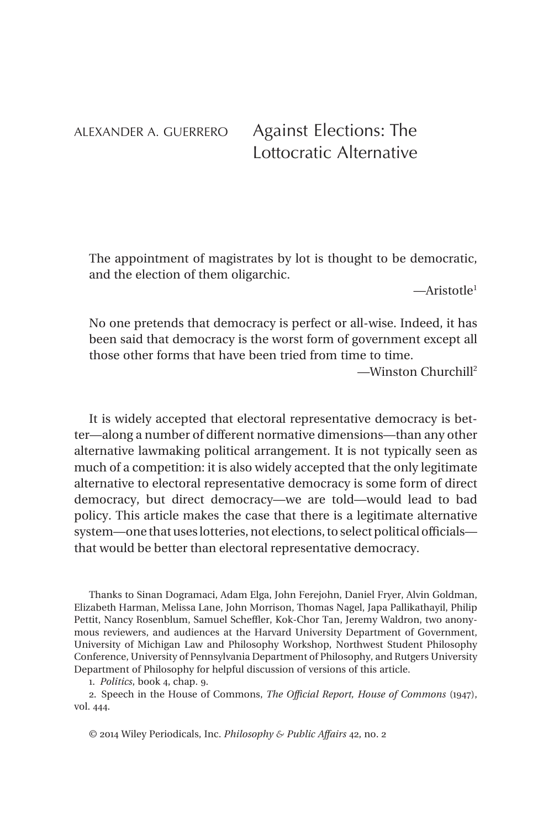# ALEXANDER A. GUERRERO

# Against Elections: The Lottocratic Alternative

The appointment of magistrates by lot is thought to be democratic, and the election of them oligarchic.

 $-A$ ristotle<sup>1</sup>

No one pretends that democracy is perfect or all-wise. Indeed, it has been said that democracy is the worst form of government except all those other forms that have been tried from time to time.

—Winston Churchill2

It is widely accepted that electoral representative democracy is better—along a number of different normative dimensions—than any other alternative lawmaking political arrangement. It is not typically seen as much of a competition: it is also widely accepted that the only legitimate alternative to electoral representative democracy is some form of direct democracy, but direct democracy—we are told—would lead to bad policy. This article makes the case that there is a legitimate alternative system—one that uses lotteries, not elections, to select political officials that would be better than electoral representative democracy.

Thanks to Sinan Dogramaci, Adam Elga, John Ferejohn, Daniel Fryer, Alvin Goldman, Elizabeth Harman, Melissa Lane, John Morrison, Thomas Nagel, Japa Pallikathayil, Philip Pettit, Nancy Rosenblum, Samuel Scheffler, Kok-Chor Tan, Jeremy Waldron, two anonymous reviewers, and audiences at the Harvard University Department of Government, University of Michigan Law and Philosophy Workshop, Northwest Student Philosophy Conference, University of Pennsylvania Department of Philosophy, and Rutgers University Department of Philosophy for helpful discussion of versions of this article.

1. *Politics*, book 4, chap. 9.

2. Speech in the House of Commons, *The Official Report, House of Commons* (1947), vol. 444.

© 2014 Wiley Periodicals, Inc. *Philosophy & Public Affairs* 42, no. 2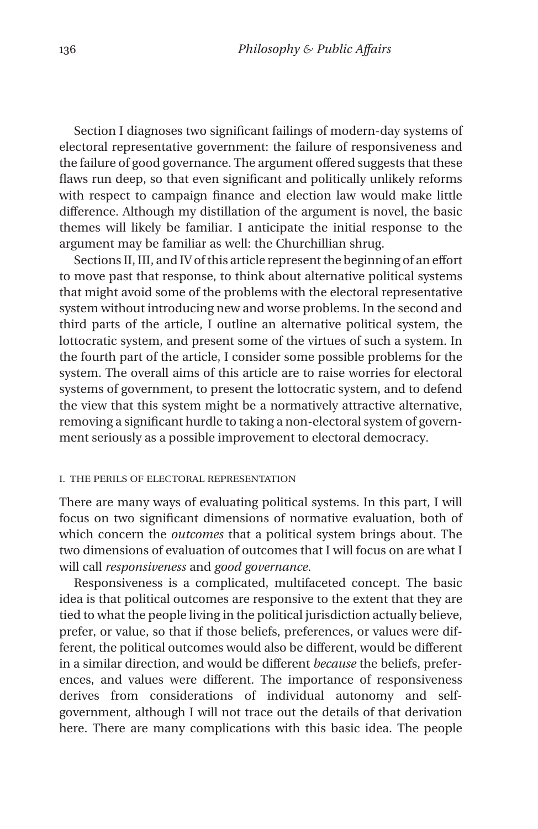Section I diagnoses two significant failings of modern-day systems of electoral representative government: the failure of responsiveness and the failure of good governance. The argument offered suggests that these flaws run deep, so that even significant and politically unlikely reforms with respect to campaign finance and election law would make little difference. Although my distillation of the argument is novel, the basic themes will likely be familiar. I anticipate the initial response to the argument may be familiar as well: the Churchillian shrug.

Sections II, III, and IV of this article represent the beginning of an effort to move past that response, to think about alternative political systems that might avoid some of the problems with the electoral representative system without introducing new and worse problems. In the second and third parts of the article, I outline an alternative political system, the lottocratic system, and present some of the virtues of such a system. In the fourth part of the article, I consider some possible problems for the system. The overall aims of this article are to raise worries for electoral systems of government, to present the lottocratic system, and to defend the view that this system might be a normatively attractive alternative, removing a significant hurdle to taking a non-electoral system of government seriously as a possible improvement to electoral democracy.

#### I. THE PERILS OF ELECTORAL REPRESENTATION

There are many ways of evaluating political systems. In this part, I will focus on two significant dimensions of normative evaluation, both of which concern the *outcomes* that a political system brings about. The two dimensions of evaluation of outcomes that I will focus on are what I will call *responsiveness* and *good governance*.

Responsiveness is a complicated, multifaceted concept. The basic idea is that political outcomes are responsive to the extent that they are tied to what the people living in the political jurisdiction actually believe, prefer, or value, so that if those beliefs, preferences, or values were different, the political outcomes would also be different, would be different in a similar direction, and would be different *because* the beliefs, preferences, and values were different. The importance of responsiveness derives from considerations of individual autonomy and selfgovernment, although I will not trace out the details of that derivation here. There are many complications with this basic idea. The people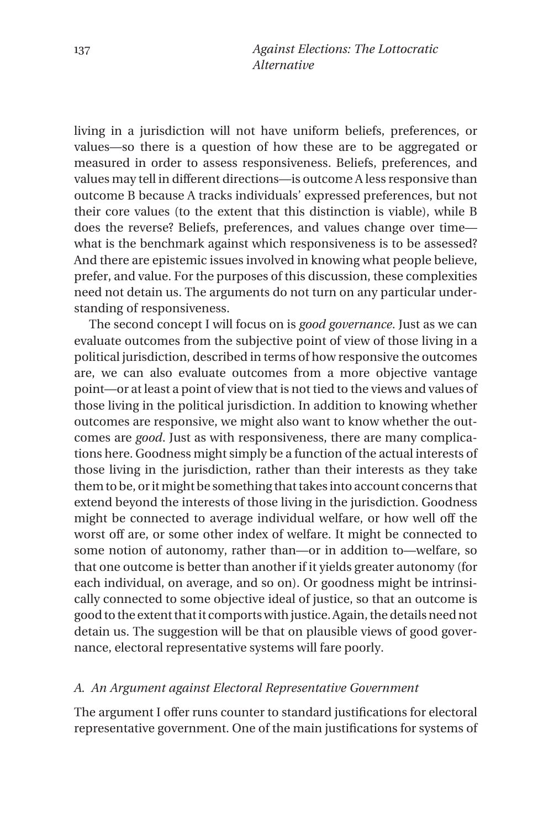living in a jurisdiction will not have uniform beliefs, preferences, or values—so there is a question of how these are to be aggregated or measured in order to assess responsiveness. Beliefs, preferences, and values may tell in different directions—is outcome A less responsive than outcome B because A tracks individuals' expressed preferences, but not their core values (to the extent that this distinction is viable), while B does the reverse? Beliefs, preferences, and values change over time what is the benchmark against which responsiveness is to be assessed? And there are epistemic issues involved in knowing what people believe, prefer, and value. For the purposes of this discussion, these complexities need not detain us. The arguments do not turn on any particular understanding of responsiveness.

The second concept I will focus on is *good governance*. Just as we can evaluate outcomes from the subjective point of view of those living in a political jurisdiction, described in terms of how responsive the outcomes are, we can also evaluate outcomes from a more objective vantage point—or at least a point of view that is not tied to the views and values of those living in the political jurisdiction. In addition to knowing whether outcomes are responsive, we might also want to know whether the outcomes are *good*. Just as with responsiveness, there are many complications here. Goodness might simply be a function of the actual interests of those living in the jurisdiction, rather than their interests as they take them to be, or it might be something that takes into account concerns that extend beyond the interests of those living in the jurisdiction. Goodness might be connected to average individual welfare, or how well off the worst off are, or some other index of welfare. It might be connected to some notion of autonomy, rather than—or in addition to—welfare, so that one outcome is better than another if it yields greater autonomy (for each individual, on average, and so on). Or goodness might be intrinsically connected to some objective ideal of justice, so that an outcome is good to the extent that it comports with justice. Again, the details need not detain us. The suggestion will be that on plausible views of good governance, electoral representative systems will fare poorly.

# *A. An Argument against Electoral Representative Government*

The argument I offer runs counter to standard justifications for electoral representative government. One of the main justifications for systems of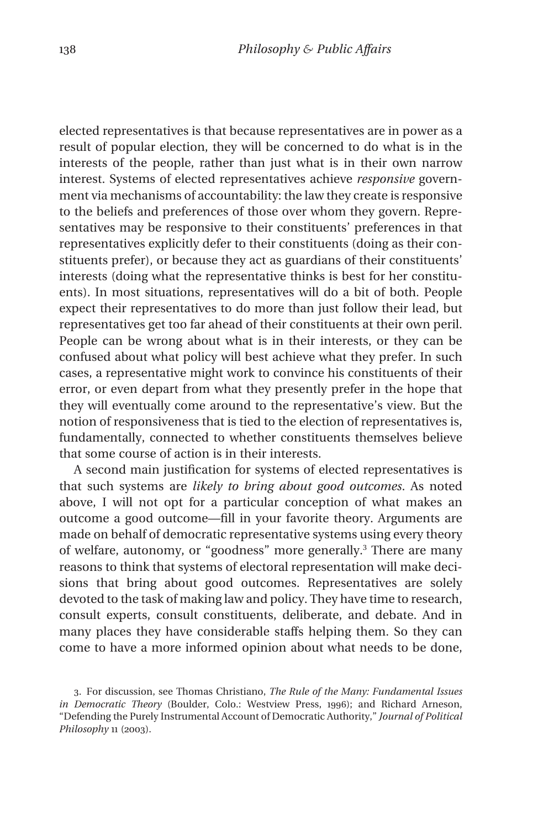elected representatives is that because representatives are in power as a result of popular election, they will be concerned to do what is in the interests of the people, rather than just what is in their own narrow interest. Systems of elected representatives achieve *responsive* government via mechanisms of accountability: the law they create is responsive to the beliefs and preferences of those over whom they govern. Representatives may be responsive to their constituents' preferences in that representatives explicitly defer to their constituents (doing as their constituents prefer), or because they act as guardians of their constituents' interests (doing what the representative thinks is best for her constituents). In most situations, representatives will do a bit of both. People expect their representatives to do more than just follow their lead, but representatives get too far ahead of their constituents at their own peril. People can be wrong about what is in their interests, or they can be confused about what policy will best achieve what they prefer. In such cases, a representative might work to convince his constituents of their error, or even depart from what they presently prefer in the hope that they will eventually come around to the representative's view. But the notion of responsiveness that is tied to the election of representatives is, fundamentally, connected to whether constituents themselves believe that some course of action is in their interests.

A second main justification for systems of elected representatives is that such systems are *likely to bring about good outcomes*. As noted above, I will not opt for a particular conception of what makes an outcome a good outcome—fill in your favorite theory. Arguments are made on behalf of democratic representative systems using every theory of welfare, autonomy, or "goodness" more generally.3 There are many reasons to think that systems of electoral representation will make decisions that bring about good outcomes. Representatives are solely devoted to the task of making law and policy. They have time to research, consult experts, consult constituents, deliberate, and debate. And in many places they have considerable staffs helping them. So they can come to have a more informed opinion about what needs to be done,

<sup>3</sup>. For discussion, see Thomas Christiano, *The Rule of the Many: Fundamental Issues in Democratic Theory* (Boulder, Colo.: Westview Press, 1996); and Richard Arneson, "Defending the Purely Instrumental Account of Democratic Authority," *Journal of Political Philosophy* 11 (2003).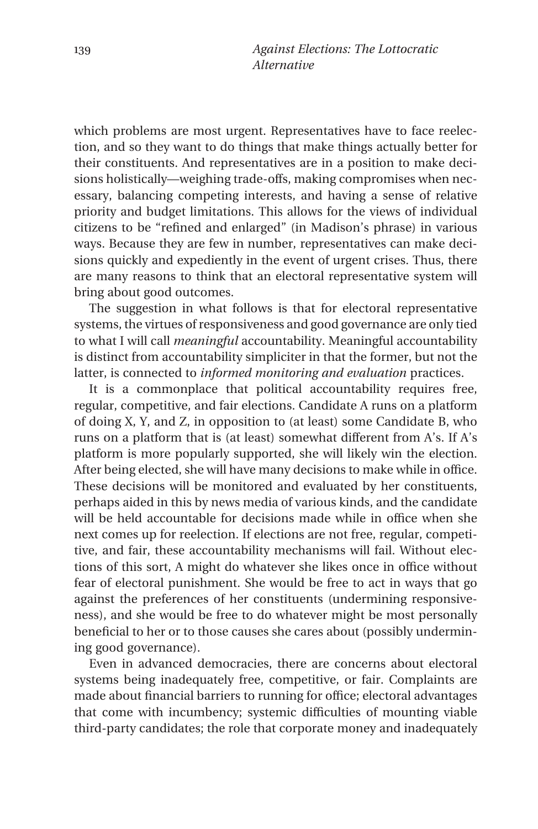which problems are most urgent. Representatives have to face reelection, and so they want to do things that make things actually better for their constituents. And representatives are in a position to make decisions holistically—weighing trade-offs, making compromises when necessary, balancing competing interests, and having a sense of relative priority and budget limitations. This allows for the views of individual citizens to be "refined and enlarged" (in Madison's phrase) in various ways. Because they are few in number, representatives can make decisions quickly and expediently in the event of urgent crises. Thus, there are many reasons to think that an electoral representative system will bring about good outcomes.

The suggestion in what follows is that for electoral representative systems, the virtues of responsiveness and good governance are only tied to what I will call *meaningful* accountability. Meaningful accountability is distinct from accountability simpliciter in that the former, but not the latter, is connected to *informed monitoring and evaluation* practices.

It is a commonplace that political accountability requires free, regular, competitive, and fair elections. Candidate A runs on a platform of doing X, Y, and Z, in opposition to (at least) some Candidate B, who runs on a platform that is (at least) somewhat different from A's. If A's platform is more popularly supported, she will likely win the election. After being elected, she will have many decisions to make while in office. These decisions will be monitored and evaluated by her constituents, perhaps aided in this by news media of various kinds, and the candidate will be held accountable for decisions made while in office when she next comes up for reelection. If elections are not free, regular, competitive, and fair, these accountability mechanisms will fail. Without elections of this sort, A might do whatever she likes once in office without fear of electoral punishment. She would be free to act in ways that go against the preferences of her constituents (undermining responsiveness), and she would be free to do whatever might be most personally beneficial to her or to those causes she cares about (possibly undermining good governance).

Even in advanced democracies, there are concerns about electoral systems being inadequately free, competitive, or fair. Complaints are made about financial barriers to running for office; electoral advantages that come with incumbency; systemic difficulties of mounting viable third-party candidates; the role that corporate money and inadequately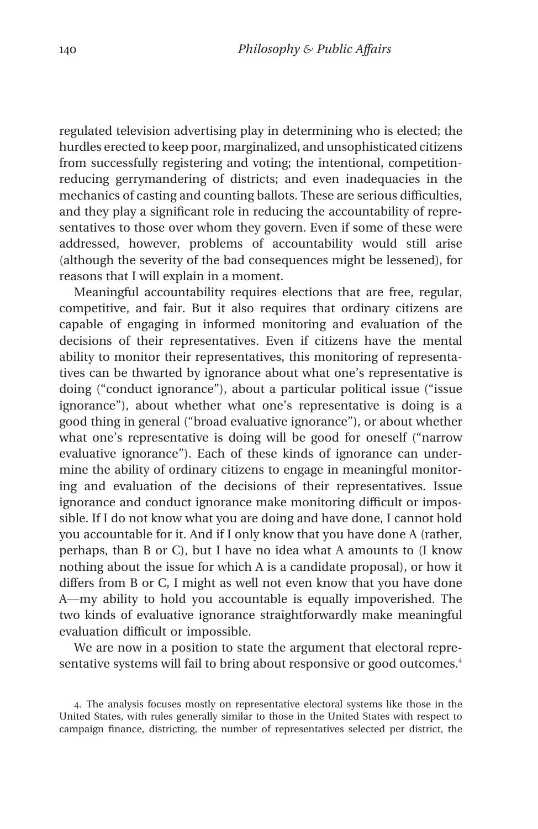regulated television advertising play in determining who is elected; the hurdles erected to keep poor, marginalized, and unsophisticated citizens from successfully registering and voting; the intentional, competitionreducing gerrymandering of districts; and even inadequacies in the mechanics of casting and counting ballots. These are serious difficulties, and they play a significant role in reducing the accountability of representatives to those over whom they govern. Even if some of these were addressed, however, problems of accountability would still arise (although the severity of the bad consequences might be lessened), for reasons that I will explain in a moment.

Meaningful accountability requires elections that are free, regular, competitive, and fair. But it also requires that ordinary citizens are capable of engaging in informed monitoring and evaluation of the decisions of their representatives. Even if citizens have the mental ability to monitor their representatives, this monitoring of representatives can be thwarted by ignorance about what one's representative is doing ("conduct ignorance"), about a particular political issue ("issue ignorance"), about whether what one's representative is doing is a good thing in general ("broad evaluative ignorance"), or about whether what one's representative is doing will be good for oneself ("narrow evaluative ignorance"). Each of these kinds of ignorance can undermine the ability of ordinary citizens to engage in meaningful monitoring and evaluation of the decisions of their representatives. Issue ignorance and conduct ignorance make monitoring difficult or impossible. If I do not know what you are doing and have done, I cannot hold you accountable for it. And if I only know that you have done A (rather, perhaps, than B or C), but I have no idea what A amounts to (I know nothing about the issue for which A is a candidate proposal), or how it differs from B or C, I might as well not even know that you have done A—my ability to hold you accountable is equally impoverished. The two kinds of evaluative ignorance straightforwardly make meaningful evaluation difficult or impossible.

We are now in a position to state the argument that electoral representative systems will fail to bring about responsive or good outcomes.<sup>4</sup>

<sup>4</sup>. The analysis focuses mostly on representative electoral systems like those in the United States, with rules generally similar to those in the United States with respect to campaign finance, districting, the number of representatives selected per district, the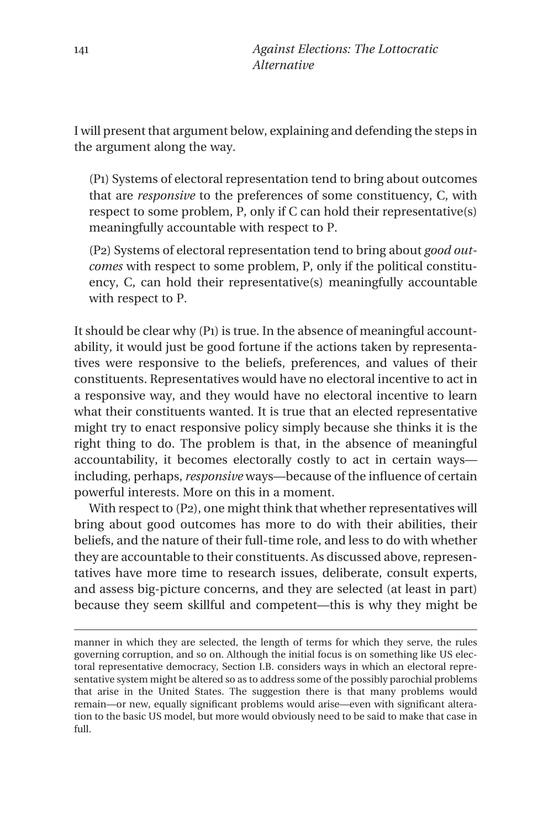I will present that argument below, explaining and defending the steps in the argument along the way.

(P1) Systems of electoral representation tend to bring about outcomes that are *responsive* to the preferences of some constituency, C, with respect to some problem, P, only if C can hold their representative(s) meaningfully accountable with respect to P.

(P2) Systems of electoral representation tend to bring about *good outcomes* with respect to some problem, P, only if the political constituency, C, can hold their representative(s) meaningfully accountable with respect to P.

It should be clear why (P1) is true. In the absence of meaningful accountability, it would just be good fortune if the actions taken by representatives were responsive to the beliefs, preferences, and values of their constituents. Representatives would have no electoral incentive to act in a responsive way, and they would have no electoral incentive to learn what their constituents wanted. It is true that an elected representative might try to enact responsive policy simply because she thinks it is the right thing to do. The problem is that, in the absence of meaningful accountability, it becomes electorally costly to act in certain ways including, perhaps, *responsive* ways—because of the influence of certain powerful interests. More on this in a moment.

With respect to (P2), one might think that whether representatives will bring about good outcomes has more to do with their abilities, their beliefs, and the nature of their full-time role, and less to do with whether they are accountable to their constituents. As discussed above, representatives have more time to research issues, deliberate, consult experts, and assess big-picture concerns, and they are selected (at least in part) because they seem skillful and competent—this is why they might be

manner in which they are selected, the length of terms for which they serve, the rules governing corruption, and so on. Although the initial focus is on something like US electoral representative democracy, Section I.B. considers ways in which an electoral representative system might be altered so as to address some of the possibly parochial problems that arise in the United States. The suggestion there is that many problems would remain—or new, equally significant problems would arise—even with significant alteration to the basic US model, but more would obviously need to be said to make that case in full.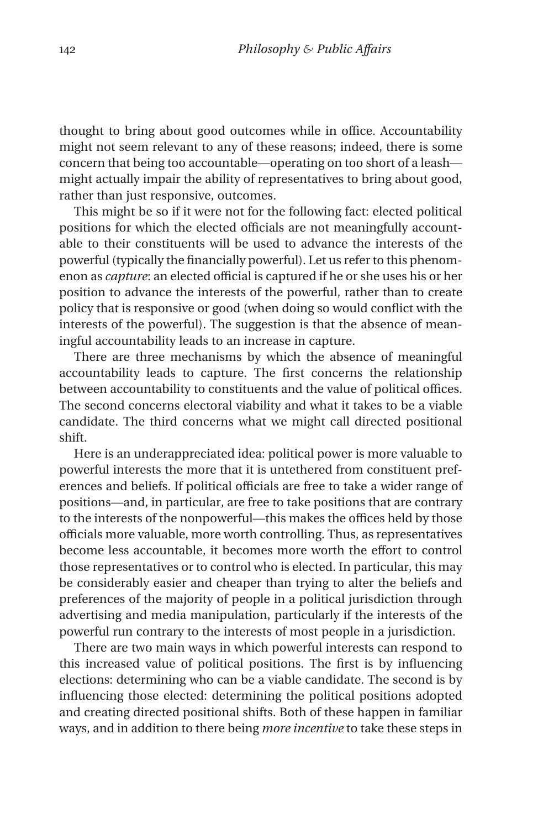thought to bring about good outcomes while in office. Accountability might not seem relevant to any of these reasons; indeed, there is some concern that being too accountable—operating on too short of a leash might actually impair the ability of representatives to bring about good, rather than just responsive, outcomes.

This might be so if it were not for the following fact: elected political positions for which the elected officials are not meaningfully accountable to their constituents will be used to advance the interests of the powerful (typically the financially powerful). Let us refer to this phenomenon as *capture*: an elected official is captured if he or she uses his or her position to advance the interests of the powerful, rather than to create policy that is responsive or good (when doing so would conflict with the interests of the powerful). The suggestion is that the absence of meaningful accountability leads to an increase in capture.

There are three mechanisms by which the absence of meaningful accountability leads to capture. The first concerns the relationship between accountability to constituents and the value of political offices. The second concerns electoral viability and what it takes to be a viable candidate. The third concerns what we might call directed positional shift.

Here is an underappreciated idea: political power is more valuable to powerful interests the more that it is untethered from constituent preferences and beliefs. If political officials are free to take a wider range of positions—and, in particular, are free to take positions that are contrary to the interests of the nonpowerful—this makes the offices held by those officials more valuable, more worth controlling. Thus, as representatives become less accountable, it becomes more worth the effort to control those representatives or to control who is elected. In particular, this may be considerably easier and cheaper than trying to alter the beliefs and preferences of the majority of people in a political jurisdiction through advertising and media manipulation, particularly if the interests of the powerful run contrary to the interests of most people in a jurisdiction.

There are two main ways in which powerful interests can respond to this increased value of political positions. The first is by influencing elections: determining who can be a viable candidate. The second is by influencing those elected: determining the political positions adopted and creating directed positional shifts. Both of these happen in familiar ways, and in addition to there being *more incentive* to take these steps in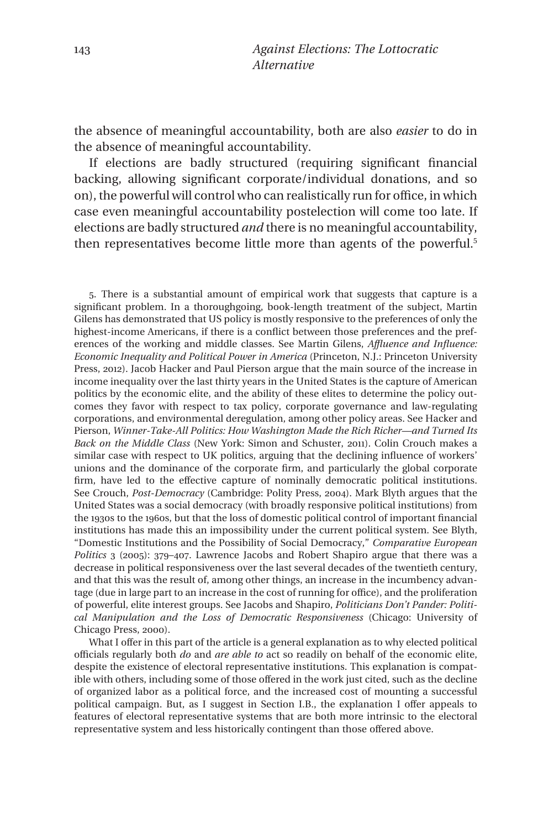the absence of meaningful accountability, both are also *easier* to do in the absence of meaningful accountability.

If elections are badly structured (requiring significant financial backing, allowing significant corporate/individual donations, and so on), the powerful will control who can realistically run for office, in which case even meaningful accountability postelection will come too late. If elections are badly structured *and* there is no meaningful accountability, then representatives become little more than agents of the powerful.<sup>5</sup>

5. There is a substantial amount of empirical work that suggests that capture is a significant problem. In a thoroughgoing, book-length treatment of the subject, Martin Gilens has demonstrated that US policy is mostly responsive to the preferences of only the highest-income Americans, if there is a conflict between those preferences and the preferences of the working and middle classes. See Martin Gilens, *Affluence and Influence: Economic Inequality and Political Power in America* (Princeton, N.J.: Princeton University Press, 2012). Jacob Hacker and Paul Pierson argue that the main source of the increase in income inequality over the last thirty years in the United States is the capture of American politics by the economic elite, and the ability of these elites to determine the policy outcomes they favor with respect to tax policy, corporate governance and law-regulating corporations, and environmental deregulation, among other policy areas. See Hacker and Pierson, *Winner-Take-All Politics: How Washington Made the Rich Richer—and Turned Its Back on the Middle Class* (New York: Simon and Schuster, 2011). Colin Crouch makes a similar case with respect to UK politics, arguing that the declining influence of workers' unions and the dominance of the corporate firm, and particularly the global corporate firm, have led to the effective capture of nominally democratic political institutions. See Crouch, *Post-Democracy* (Cambridge: Polity Press, 2004). Mark Blyth argues that the United States was a social democracy (with broadly responsive political institutions) from the 1930s to the 1960s, but that the loss of domestic political control of important financial institutions has made this an impossibility under the current political system. See Blyth, "Domestic Institutions and the Possibility of Social Democracy," *Comparative European Politics* 3 (2005): 379–407. Lawrence Jacobs and Robert Shapiro argue that there was a decrease in political responsiveness over the last several decades of the twentieth century, and that this was the result of, among other things, an increase in the incumbency advantage (due in large part to an increase in the cost of running for office), and the proliferation of powerful, elite interest groups. See Jacobs and Shapiro, *Politicians Don't Pander: Political Manipulation and the Loss of Democratic Responsiveness* (Chicago: University of Chicago Press, 2000).

What I offer in this part of the article is a general explanation as to why elected political officials regularly both *do* and *are able to* act so readily on behalf of the economic elite, despite the existence of electoral representative institutions. This explanation is compatible with others, including some of those offered in the work just cited, such as the decline of organized labor as a political force, and the increased cost of mounting a successful political campaign. But, as I suggest in Section I.B., the explanation I offer appeals to features of electoral representative systems that are both more intrinsic to the electoral representative system and less historically contingent than those offered above.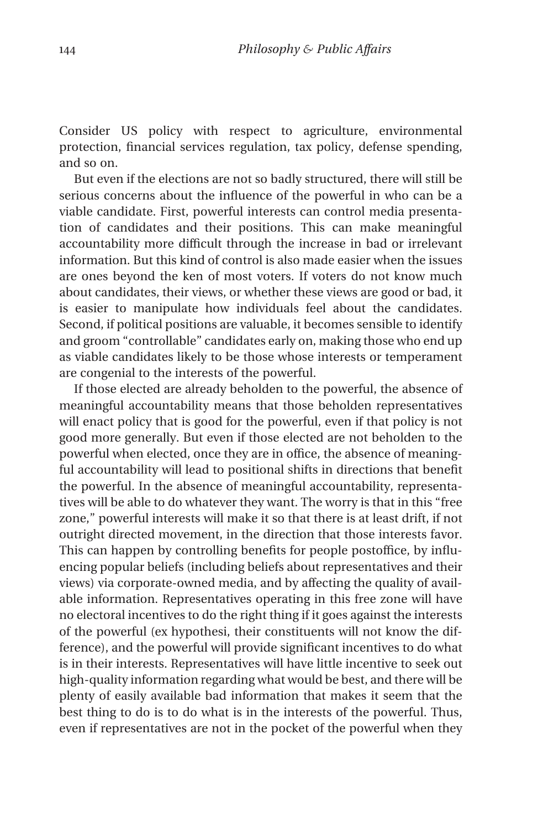Consider US policy with respect to agriculture, environmental protection, financial services regulation, tax policy, defense spending, and so on.

But even if the elections are not so badly structured, there will still be serious concerns about the influence of the powerful in who can be a viable candidate. First, powerful interests can control media presentation of candidates and their positions. This can make meaningful accountability more difficult through the increase in bad or irrelevant information. But this kind of control is also made easier when the issues are ones beyond the ken of most voters. If voters do not know much about candidates, their views, or whether these views are good or bad, it is easier to manipulate how individuals feel about the candidates. Second, if political positions are valuable, it becomes sensible to identify and groom "controllable" candidates early on, making those who end up as viable candidates likely to be those whose interests or temperament are congenial to the interests of the powerful.

If those elected are already beholden to the powerful, the absence of meaningful accountability means that those beholden representatives will enact policy that is good for the powerful, even if that policy is not good more generally. But even if those elected are not beholden to the powerful when elected, once they are in office, the absence of meaningful accountability will lead to positional shifts in directions that benefit the powerful. In the absence of meaningful accountability, representatives will be able to do whatever they want. The worry is that in this "free zone," powerful interests will make it so that there is at least drift, if not outright directed movement, in the direction that those interests favor. This can happen by controlling benefits for people postoffice, by influencing popular beliefs (including beliefs about representatives and their views) via corporate-owned media, and by affecting the quality of available information. Representatives operating in this free zone will have no electoral incentives to do the right thing if it goes against the interests of the powerful (ex hypothesi, their constituents will not know the difference), and the powerful will provide significant incentives to do what is in their interests. Representatives will have little incentive to seek out high-quality information regarding what would be best, and there will be plenty of easily available bad information that makes it seem that the best thing to do is to do what is in the interests of the powerful. Thus, even if representatives are not in the pocket of the powerful when they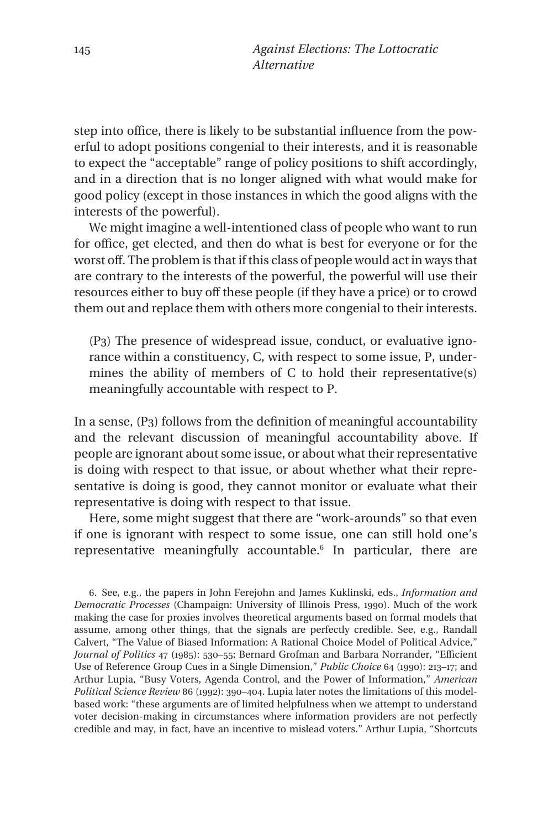step into office, there is likely to be substantial influence from the powerful to adopt positions congenial to their interests, and it is reasonable to expect the "acceptable" range of policy positions to shift accordingly, and in a direction that is no longer aligned with what would make for good policy (except in those instances in which the good aligns with the interests of the powerful).

We might imagine a well-intentioned class of people who want to run for office, get elected, and then do what is best for everyone or for the worst off. The problem is that if this class of people would act in ways that are contrary to the interests of the powerful, the powerful will use their resources either to buy off these people (if they have a price) or to crowd them out and replace them with others more congenial to their interests.

(P3) The presence of widespread issue, conduct, or evaluative ignorance within a constituency, C, with respect to some issue, P, undermines the ability of members of C to hold their representative(s) meaningfully accountable with respect to P.

In a sense, (P3) follows from the definition of meaningful accountability and the relevant discussion of meaningful accountability above. If people are ignorant about some issue, or about what their representative is doing with respect to that issue, or about whether what their representative is doing is good, they cannot monitor or evaluate what their representative is doing with respect to that issue.

Here, some might suggest that there are "work-arounds" so that even if one is ignorant with respect to some issue, one can still hold one's representative meaningfully accountable.<sup>6</sup> In particular, there are

6. See, e.g., the papers in John Ferejohn and James Kuklinski, eds., *Information and Democratic Processes* (Champaign: University of Illinois Press, 1990). Much of the work making the case for proxies involves theoretical arguments based on formal models that assume, among other things, that the signals are perfectly credible. See, e.g., Randall Calvert, "The Value of Biased Information: A Rational Choice Model of Political Advice," *Journal of Politics* 47 (1985): 530–55; Bernard Grofman and Barbara Norrander, "Efficient Use of Reference Group Cues in a Single Dimension," *Public Choice* 64 (1990): 213–17; and Arthur Lupia, "Busy Voters, Agenda Control, and the Power of Information," *American Political Science Review* 86 (1992): 390–404. Lupia later notes the limitations of this modelbased work: "these arguments are of limited helpfulness when we attempt to understand voter decision-making in circumstances where information providers are not perfectly credible and may, in fact, have an incentive to mislead voters." Arthur Lupia, "Shortcuts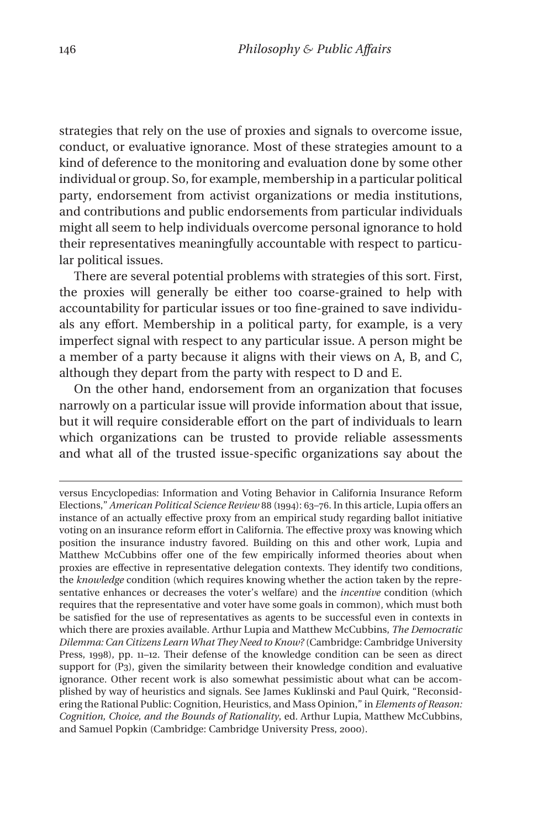strategies that rely on the use of proxies and signals to overcome issue, conduct, or evaluative ignorance. Most of these strategies amount to a kind of deference to the monitoring and evaluation done by some other individual or group. So, for example, membership in a particular political party, endorsement from activist organizations or media institutions, and contributions and public endorsements from particular individuals might all seem to help individuals overcome personal ignorance to hold their representatives meaningfully accountable with respect to particular political issues.

There are several potential problems with strategies of this sort. First, the proxies will generally be either too coarse-grained to help with accountability for particular issues or too fine-grained to save individuals any effort. Membership in a political party, for example, is a very imperfect signal with respect to any particular issue. A person might be a member of a party because it aligns with their views on A, B, and C, although they depart from the party with respect to D and E.

On the other hand, endorsement from an organization that focuses narrowly on a particular issue will provide information about that issue, but it will require considerable effort on the part of individuals to learn which organizations can be trusted to provide reliable assessments and what all of the trusted issue-specific organizations say about the

versus Encyclopedias: Information and Voting Behavior in California Insurance Reform Elections," *American Political Science Review* 88 (1994): 63–76. In this article, Lupia offers an instance of an actually effective proxy from an empirical study regarding ballot initiative voting on an insurance reform effort in California. The effective proxy was knowing which position the insurance industry favored. Building on this and other work, Lupia and Matthew McCubbins offer one of the few empirically informed theories about when proxies are effective in representative delegation contexts. They identify two conditions, the *knowledge* condition (which requires knowing whether the action taken by the representative enhances or decreases the voter's welfare) and the *incentive* condition (which requires that the representative and voter have some goals in common), which must both be satisfied for the use of representatives as agents to be successful even in contexts in which there are proxies available. Arthur Lupia and Matthew McCubbins, *The Democratic Dilemma: Can Citizens Learn What They Need to Know?* (Cambridge: Cambridge University Press, 1998), pp. 11–12. Their defense of the knowledge condition can be seen as direct support for (P3), given the similarity between their knowledge condition and evaluative ignorance. Other recent work is also somewhat pessimistic about what can be accomplished by way of heuristics and signals. See James Kuklinski and Paul Quirk, "Reconsidering the Rational Public: Cognition, Heuristics, and Mass Opinion," in *Elements of Reason: Cognition, Choice, and the Bounds of Rationality*, ed. Arthur Lupia, Matthew McCubbins, and Samuel Popkin (Cambridge: Cambridge University Press, 2000).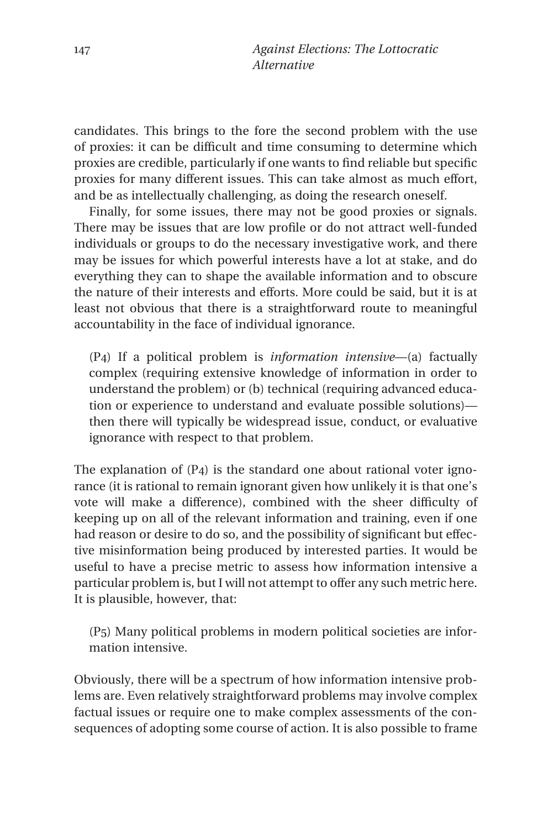candidates. This brings to the fore the second problem with the use of proxies: it can be difficult and time consuming to determine which proxies are credible, particularly if one wants to find reliable but specific proxies for many different issues. This can take almost as much effort, and be as intellectually challenging, as doing the research oneself.

Finally, for some issues, there may not be good proxies or signals. There may be issues that are low profile or do not attract well-funded individuals or groups to do the necessary investigative work, and there may be issues for which powerful interests have a lot at stake, and do everything they can to shape the available information and to obscure the nature of their interests and efforts. More could be said, but it is at least not obvious that there is a straightforward route to meaningful accountability in the face of individual ignorance.

(P4) If a political problem is *information intensive*—(a) factually complex (requiring extensive knowledge of information in order to understand the problem) or (b) technical (requiring advanced education or experience to understand and evaluate possible solutions) then there will typically be widespread issue, conduct, or evaluative ignorance with respect to that problem.

The explanation of  $(P_4)$  is the standard one about rational voter ignorance (it is rational to remain ignorant given how unlikely it is that one's vote will make a difference), combined with the sheer difficulty of keeping up on all of the relevant information and training, even if one had reason or desire to do so, and the possibility of significant but effective misinformation being produced by interested parties. It would be useful to have a precise metric to assess how information intensive a particular problem is, but I will not attempt to offer any such metric here. It is plausible, however, that:

(P5) Many political problems in modern political societies are information intensive.

Obviously, there will be a spectrum of how information intensive problems are. Even relatively straightforward problems may involve complex factual issues or require one to make complex assessments of the consequences of adopting some course of action. It is also possible to frame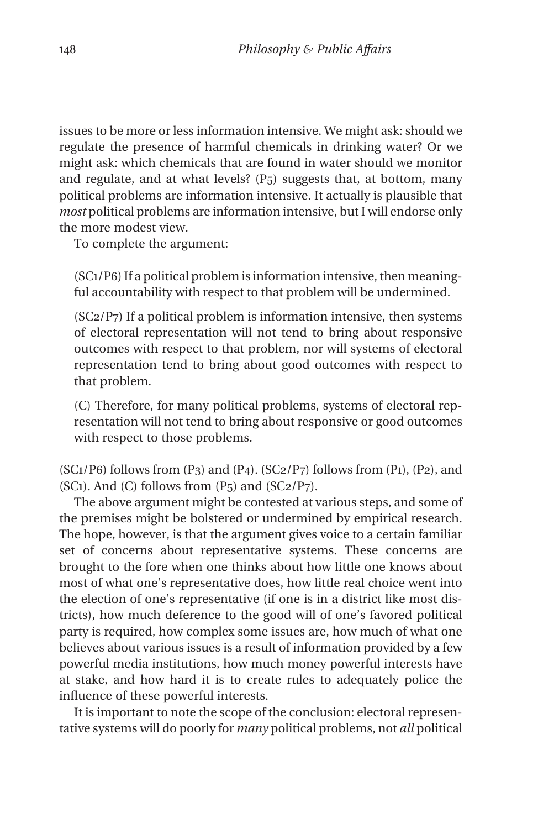issues to be more or less information intensive. We might ask: should we regulate the presence of harmful chemicals in drinking water? Or we might ask: which chemicals that are found in water should we monitor and regulate, and at what levels? (P5) suggests that, at bottom, many political problems are information intensive. It actually is plausible that *most* political problems are information intensive, but I will endorse only the more modest view.

To complete the argument:

(SC1/P6) If a political problem is information intensive, then meaningful accountability with respect to that problem will be undermined.

(SC2/P7) If a political problem is information intensive, then systems of electoral representation will not tend to bring about responsive outcomes with respect to that problem, nor will systems of electoral representation tend to bring about good outcomes with respect to that problem.

(C) Therefore, for many political problems, systems of electoral representation will not tend to bring about responsive or good outcomes with respect to those problems.

 $(SC1/P6)$  follows from  $(P3)$  and  $(P4)$ .  $(SC2/P7)$  follows from  $(P1)$ ,  $(P2)$ , and  $(SC_1)$ . And  $(C)$  follows from  $(P_5)$  and  $(SC_2/P_7)$ .

The above argument might be contested at various steps, and some of the premises might be bolstered or undermined by empirical research. The hope, however, is that the argument gives voice to a certain familiar set of concerns about representative systems. These concerns are brought to the fore when one thinks about how little one knows about most of what one's representative does, how little real choice went into the election of one's representative (if one is in a district like most districts), how much deference to the good will of one's favored political party is required, how complex some issues are, how much of what one believes about various issues is a result of information provided by a few powerful media institutions, how much money powerful interests have at stake, and how hard it is to create rules to adequately police the influence of these powerful interests.

It is important to note the scope of the conclusion: electoral representative systems will do poorly for *many* political problems, not *all* political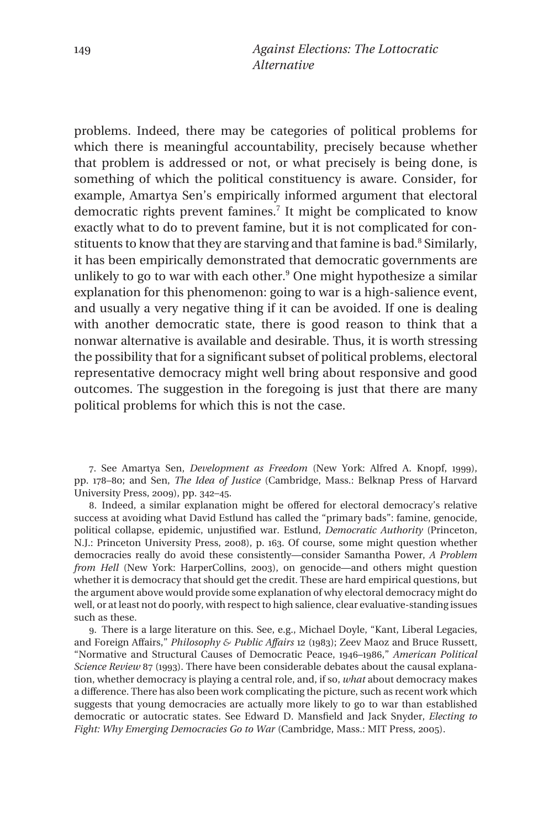problems. Indeed, there may be categories of political problems for which there is meaningful accountability, precisely because whether that problem is addressed or not, or what precisely is being done, is something of which the political constituency is aware. Consider, for example, Amartya Sen's empirically informed argument that electoral democratic rights prevent famines.<sup>7</sup> It might be complicated to know exactly what to do to prevent famine, but it is not complicated for constituents to know that they are starving and that famine is bad.<sup>8</sup> Similarly, it has been empirically demonstrated that democratic governments are unlikely to go to war with each other.<sup>9</sup> One might hypothesize a similar explanation for this phenomenon: going to war is a high-salience event, and usually a very negative thing if it can be avoided. If one is dealing with another democratic state, there is good reason to think that a nonwar alternative is available and desirable. Thus, it is worth stressing the possibility that for a significant subset of political problems, electoral representative democracy might well bring about responsive and good outcomes. The suggestion in the foregoing is just that there are many political problems for which this is not the case.

7. See Amartya Sen, *Development as Freedom* (New York: Alfred A. Knopf, 1999), pp. 178–80; and Sen, *The Idea of Justice* (Cambridge, Mass.: Belknap Press of Harvard University Press, 2009), pp. 342–45.

8. Indeed, a similar explanation might be offered for electoral democracy's relative success at avoiding what David Estlund has called the "primary bads": famine, genocide, political collapse, epidemic, unjustified war. Estlund, *Democratic Authority* (Princeton, N.J.: Princeton University Press, 2008), p. 163. Of course, some might question whether democracies really do avoid these consistently—consider Samantha Power, *A Problem from Hell* (New York: HarperCollins, 2003), on genocide—and others might question whether it is democracy that should get the credit. These are hard empirical questions, but the argument above would provide some explanation of why electoral democracy might do well, or at least not do poorly, with respect to high salience, clear evaluative-standing issues such as these.

9. There is a large literature on this. See, e.g., Michael Doyle, "Kant, Liberal Legacies, and Foreign Affairs," *Philosophy & Public Affairs* 12 (1983); Zeev Maoz and Bruce Russett, "Normative and Structural Causes of Democratic Peace, 1946–1986," *American Political Science Review* 87 (1993). There have been considerable debates about the causal explanation, whether democracy is playing a central role, and, if so, *what* about democracy makes a difference. There has also been work complicating the picture, such as recent work which suggests that young democracies are actually more likely to go to war than established democratic or autocratic states. See Edward D. Mansfield and Jack Snyder, *Electing to Fight: Why Emerging Democracies Go to War* (Cambridge, Mass.: MIT Press, 2005).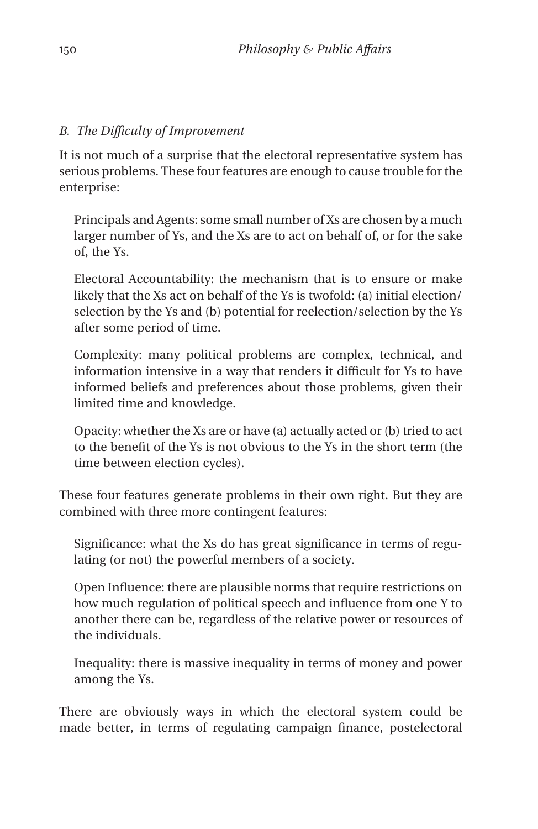# *B. The Difficulty of Improvement*

It is not much of a surprise that the electoral representative system has serious problems. These four features are enough to cause trouble for the enterprise:

Principals and Agents: some small number of Xs are chosen by a much larger number of Ys, and the Xs are to act on behalf of, or for the sake of, the Ys.

Electoral Accountability: the mechanism that is to ensure or make likely that the Xs act on behalf of the Ys is twofold: (a) initial election/ selection by the Ys and (b) potential for reelection/selection by the Ys after some period of time.

Complexity: many political problems are complex, technical, and information intensive in a way that renders it difficult for Ys to have informed beliefs and preferences about those problems, given their limited time and knowledge.

Opacity: whether the Xs are or have (a) actually acted or (b) tried to act to the benefit of the Ys is not obvious to the Ys in the short term (the time between election cycles).

These four features generate problems in their own right. But they are combined with three more contingent features:

Significance: what the Xs do has great significance in terms of regulating (or not) the powerful members of a society.

Open Influence: there are plausible norms that require restrictions on how much regulation of political speech and influence from one Y to another there can be, regardless of the relative power or resources of the individuals.

Inequality: there is massive inequality in terms of money and power among the Ys.

There are obviously ways in which the electoral system could be made better, in terms of regulating campaign finance, postelectoral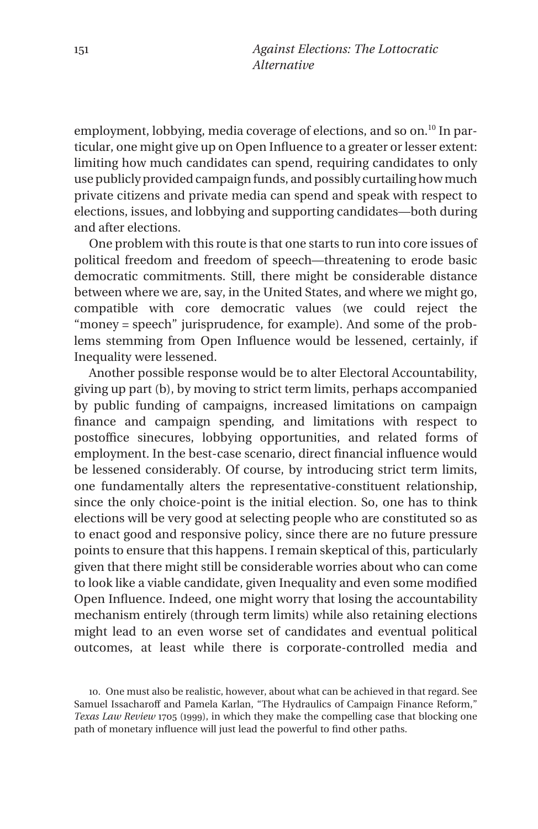employment, lobbying, media coverage of elections, and so on.<sup>10</sup> In particular, one might give up on Open Influence to a greater or lesser extent: limiting how much candidates can spend, requiring candidates to only use publicly provided campaign funds, and possibly curtailing how much private citizens and private media can spend and speak with respect to elections, issues, and lobbying and supporting candidates—both during and after elections.

One problem with this route is that one starts to run into core issues of political freedom and freedom of speech—threatening to erode basic democratic commitments. Still, there might be considerable distance between where we are, say, in the United States, and where we might go, compatible with core democratic values (we could reject the "money = speech" jurisprudence, for example). And some of the problems stemming from Open Influence would be lessened, certainly, if Inequality were lessened.

Another possible response would be to alter Electoral Accountability, giving up part (b), by moving to strict term limits, perhaps accompanied by public funding of campaigns, increased limitations on campaign finance and campaign spending, and limitations with respect to postoffice sinecures, lobbying opportunities, and related forms of employment. In the best-case scenario, direct financial influence would be lessened considerably. Of course, by introducing strict term limits, one fundamentally alters the representative-constituent relationship, since the only choice-point is the initial election. So, one has to think elections will be very good at selecting people who are constituted so as to enact good and responsive policy, since there are no future pressure points to ensure that this happens. I remain skeptical of this, particularly given that there might still be considerable worries about who can come to look like a viable candidate, given Inequality and even some modified Open Influence. Indeed, one might worry that losing the accountability mechanism entirely (through term limits) while also retaining elections might lead to an even worse set of candidates and eventual political outcomes, at least while there is corporate-controlled media and

<sup>10</sup>. One must also be realistic, however, about what can be achieved in that regard. See Samuel Issacharoff and Pamela Karlan, "The Hydraulics of Campaign Finance Reform," *Texas Law Review* 1705 (1999), in which they make the compelling case that blocking one path of monetary influence will just lead the powerful to find other paths.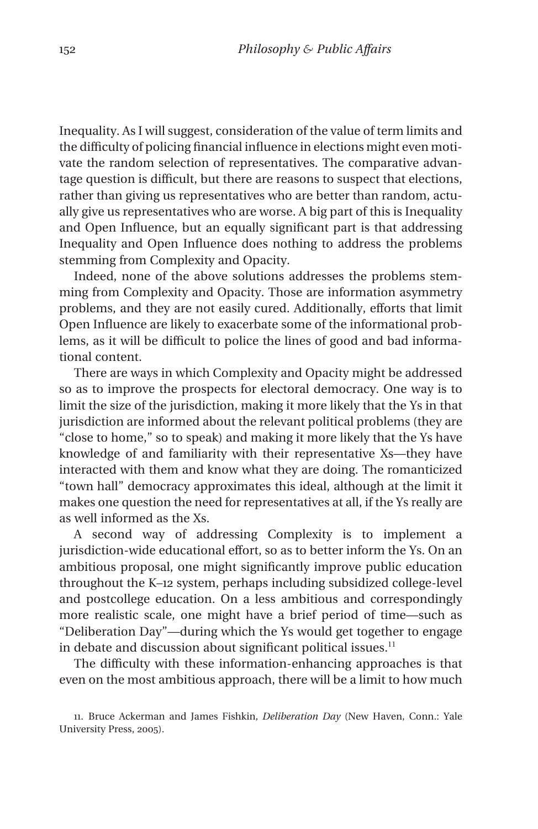Inequality. As I will suggest, consideration of the value of term limits and the difficulty of policing financial influence in elections might even motivate the random selection of representatives. The comparative advantage question is difficult, but there are reasons to suspect that elections, rather than giving us representatives who are better than random, actually give us representatives who are worse. A big part of this is Inequality and Open Influence, but an equally significant part is that addressing Inequality and Open Influence does nothing to address the problems stemming from Complexity and Opacity.

Indeed, none of the above solutions addresses the problems stemming from Complexity and Opacity. Those are information asymmetry problems, and they are not easily cured. Additionally, efforts that limit Open Influence are likely to exacerbate some of the informational problems, as it will be difficult to police the lines of good and bad informational content.

There are ways in which Complexity and Opacity might be addressed so as to improve the prospects for electoral democracy. One way is to limit the size of the jurisdiction, making it more likely that the Ys in that jurisdiction are informed about the relevant political problems (they are "close to home," so to speak) and making it more likely that the Ys have knowledge of and familiarity with their representative Xs—they have interacted with them and know what they are doing. The romanticized "town hall" democracy approximates this ideal, although at the limit it makes one question the need for representatives at all, if the Ys really are as well informed as the Xs.

A second way of addressing Complexity is to implement a jurisdiction-wide educational effort, so as to better inform the Ys. On an ambitious proposal, one might significantly improve public education throughout the K–12 system, perhaps including subsidized college-level and postcollege education. On a less ambitious and correspondingly more realistic scale, one might have a brief period of time—such as "Deliberation Day"—during which the Ys would get together to engage in debate and discussion about significant political issues. $11$ 

The difficulty with these information-enhancing approaches is that even on the most ambitious approach, there will be a limit to how much

11. Bruce Ackerman and James Fishkin, *Deliberation Day* (New Haven, Conn.: Yale University Press, 2005).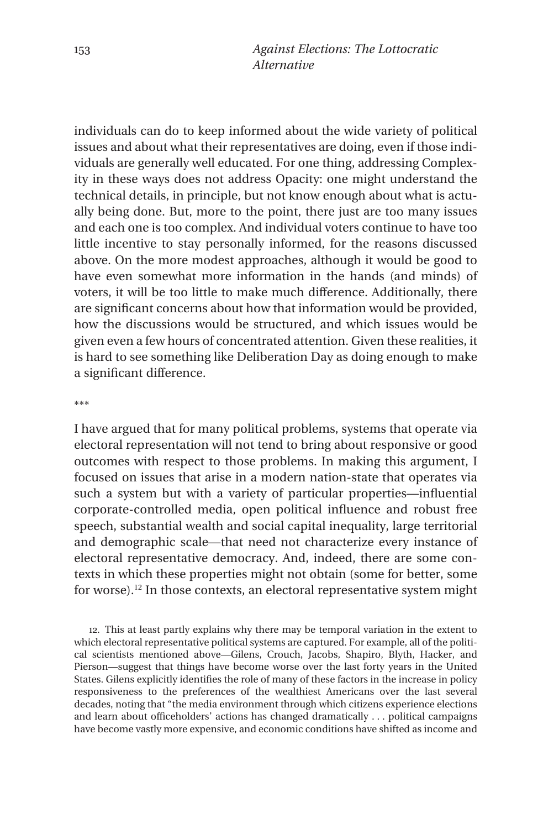individuals can do to keep informed about the wide variety of political issues and about what their representatives are doing, even if those individuals are generally well educated. For one thing, addressing Complexity in these ways does not address Opacity: one might understand the technical details, in principle, but not know enough about what is actually being done. But, more to the point, there just are too many issues and each one is too complex. And individual voters continue to have too little incentive to stay personally informed, for the reasons discussed above. On the more modest approaches, although it would be good to have even somewhat more information in the hands (and minds) of voters, it will be too little to make much difference. Additionally, there are significant concerns about how that information would be provided, how the discussions would be structured, and which issues would be given even a few hours of concentrated attention. Given these realities, it is hard to see something like Deliberation Day as doing enough to make a significant difference.

#### \*\*\*

I have argued that for many political problems, systems that operate via electoral representation will not tend to bring about responsive or good outcomes with respect to those problems. In making this argument, I focused on issues that arise in a modern nation-state that operates via such a system but with a variety of particular properties—influential corporate-controlled media, open political influence and robust free speech, substantial wealth and social capital inequality, large territorial and demographic scale—that need not characterize every instance of electoral representative democracy. And, indeed, there are some contexts in which these properties might not obtain (some for better, some for worse).12 In those contexts, an electoral representative system might

12. This at least partly explains why there may be temporal variation in the extent to which electoral representative political systems are captured. For example, all of the political scientists mentioned above—Gilens, Crouch, Jacobs, Shapiro, Blyth, Hacker, and Pierson—suggest that things have become worse over the last forty years in the United States. Gilens explicitly identifies the role of many of these factors in the increase in policy responsiveness to the preferences of the wealthiest Americans over the last several decades, noting that "the media environment through which citizens experience elections and learn about officeholders' actions has changed dramatically . . . political campaigns have become vastly more expensive, and economic conditions have shifted as income and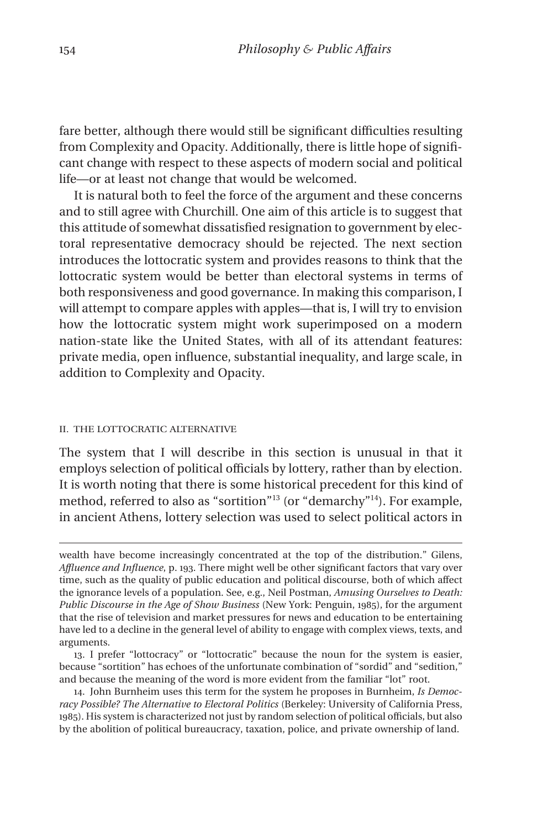fare better, although there would still be significant difficulties resulting from Complexity and Opacity. Additionally, there is little hope of significant change with respect to these aspects of modern social and political life—or at least not change that would be welcomed.

It is natural both to feel the force of the argument and these concerns and to still agree with Churchill. One aim of this article is to suggest that this attitude of somewhat dissatisfied resignation to government by electoral representative democracy should be rejected. The next section introduces the lottocratic system and provides reasons to think that the lottocratic system would be better than electoral systems in terms of both responsiveness and good governance. In making this comparison, I will attempt to compare apples with apples—that is, I will try to envision how the lottocratic system might work superimposed on a modern nation-state like the United States, with all of its attendant features: private media, open influence, substantial inequality, and large scale, in addition to Complexity and Opacity.

#### II. THE LOTTOCRATIC ALTERNATIVE

The system that I will describe in this section is unusual in that it employs selection of political officials by lottery, rather than by election. It is worth noting that there is some historical precedent for this kind of method, referred to also as "sortition"13 (or "demarchy"14). For example, in ancient Athens, lottery selection was used to select political actors in

wealth have become increasingly concentrated at the top of the distribution." Gilens, *Affluence and Influence*, p. 193. There might well be other significant factors that vary over time, such as the quality of public education and political discourse, both of which affect the ignorance levels of a population. See, e.g., Neil Postman, *Amusing Ourselves to Death: Public Discourse in the Age of Show Business* (New York: Penguin, 1985), for the argument that the rise of television and market pressures for news and education to be entertaining have led to a decline in the general level of ability to engage with complex views, texts, and arguments.

<sup>13</sup>. I prefer "lottocracy" or "lottocratic" because the noun for the system is easier, because "sortition" has echoes of the unfortunate combination of "sordid" and "sedition," and because the meaning of the word is more evident from the familiar "lot" root.

<sup>14</sup>. John Burnheim uses this term for the system he proposes in Burnheim, *Is Democracy Possible? The Alternative to Electoral Politics* (Berkeley: University of California Press, 1985). His system is characterized not just by random selection of political officials, but also by the abolition of political bureaucracy, taxation, police, and private ownership of land.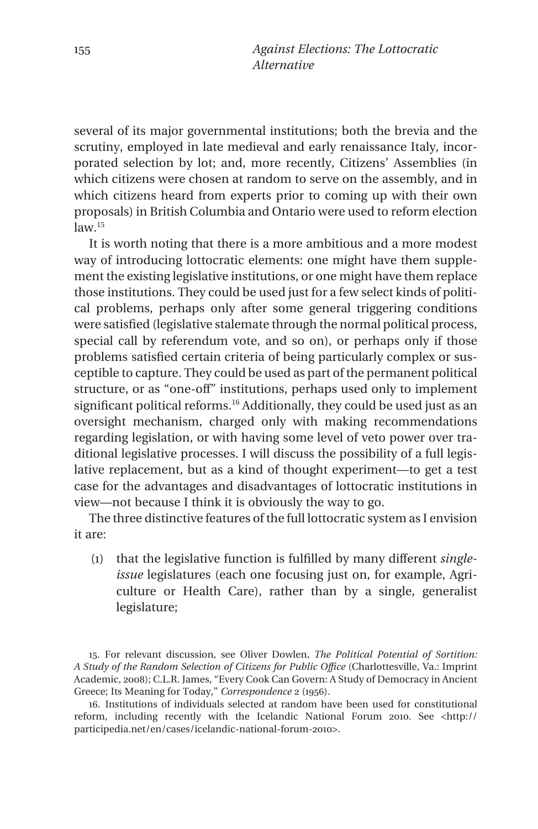several of its major governmental institutions; both the brevia and the scrutiny, employed in late medieval and early renaissance Italy, incorporated selection by lot; and, more recently, Citizens' Assemblies (in which citizens were chosen at random to serve on the assembly, and in which citizens heard from experts prior to coming up with their own proposals) in British Columbia and Ontario were used to reform election  $law<sup>15</sup>$ 

It is worth noting that there is a more ambitious and a more modest way of introducing lottocratic elements: one might have them supplement the existing legislative institutions, or one might have them replace those institutions. They could be used just for a few select kinds of political problems, perhaps only after some general triggering conditions were satisfied (legislative stalemate through the normal political process, special call by referendum vote, and so on), or perhaps only if those problems satisfied certain criteria of being particularly complex or susceptible to capture. They could be used as part of the permanent political structure, or as "one-off" institutions, perhaps used only to implement significant political reforms.<sup>16</sup> Additionally, they could be used just as an oversight mechanism, charged only with making recommendations regarding legislation, or with having some level of veto power over traditional legislative processes. I will discuss the possibility of a full legislative replacement, but as a kind of thought experiment—to get a test case for the advantages and disadvantages of lottocratic institutions in view—not because I think it is obviously the way to go.

The three distinctive features of the full lottocratic system as I envision it are:

(1) that the legislative function is fulfilled by many different *singleissue* legislatures (each one focusing just on, for example, Agriculture or Health Care), rather than by a single, generalist legislature;

15. For relevant discussion, see Oliver Dowlen, *The Political Potential of Sortition: A Study of the Random Selection of Citizens for Public Office* (Charlottesville, Va.: Imprint Academic, 2008); C.L.R. James, "Every Cook Can Govern: A Study of Democracy in Ancient Greece; Its Meaning for Today," *Correspondence* 2 (1956).

16. Institutions of individuals selected at random have been used for constitutional reform, including recently with the Icelandic National Forum 2010. See <[http://](http://participedia.net/en/cases/icelandic-national-forum-2010) [participedia.net/en/cases/icelandic-national-forum-](http://participedia.net/en/cases/icelandic-national-forum-2010)2010>.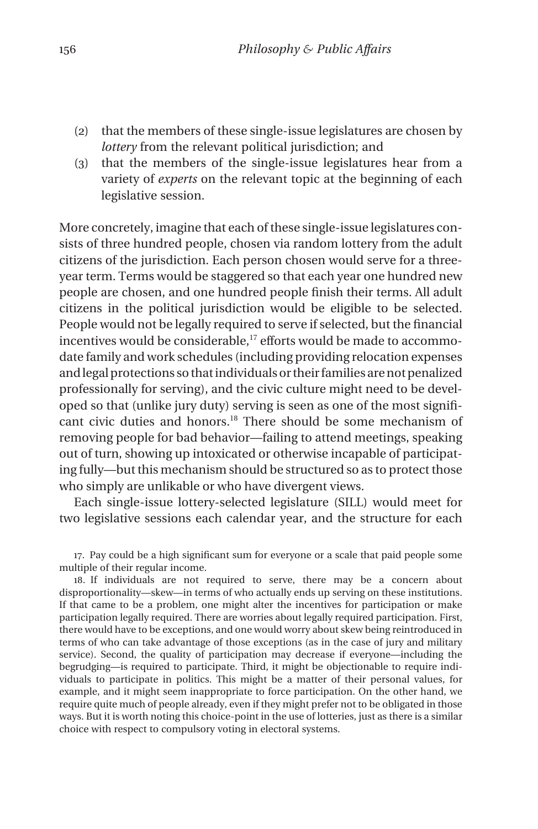- (2) that the members of these single-issue legislatures are chosen by *lottery* from the relevant political jurisdiction; and
- (3) that the members of the single-issue legislatures hear from a variety of *experts* on the relevant topic at the beginning of each legislative session.

More concretely, imagine that each of these single-issue legislatures consists of three hundred people, chosen via random lottery from the adult citizens of the jurisdiction. Each person chosen would serve for a threeyear term. Terms would be staggered so that each year one hundred new people are chosen, and one hundred people finish their terms. All adult citizens in the political jurisdiction would be eligible to be selected. People would not be legally required to serve if selected, but the financial incentives would be considerable,<sup>17</sup> efforts would be made to accommodate family and work schedules (including providing relocation expenses and legal protections so that individuals or their families are not penalized professionally for serving), and the civic culture might need to be developed so that (unlike jury duty) serving is seen as one of the most significant civic duties and honors.18 There should be some mechanism of removing people for bad behavior—failing to attend meetings, speaking out of turn, showing up intoxicated or otherwise incapable of participating fully—but this mechanism should be structured so as to protect those who simply are unlikable or who have divergent views.

Each single-issue lottery-selected legislature (SILL) would meet for two legislative sessions each calendar year, and the structure for each

17. Pay could be a high significant sum for everyone or a scale that paid people some multiple of their regular income.

18. If individuals are not required to serve, there may be a concern about disproportionality—skew—in terms of who actually ends up serving on these institutions. If that came to be a problem, one might alter the incentives for participation or make participation legally required. There are worries about legally required participation. First, there would have to be exceptions, and one would worry about skew being reintroduced in terms of who can take advantage of those exceptions (as in the case of jury and military service). Second, the quality of participation may decrease if everyone—including the begrudging—is required to participate. Third, it might be objectionable to require individuals to participate in politics. This might be a matter of their personal values, for example, and it might seem inappropriate to force participation. On the other hand, we require quite much of people already, even if they might prefer not to be obligated in those ways. But it is worth noting this choice-point in the use of lotteries, just as there is a similar choice with respect to compulsory voting in electoral systems.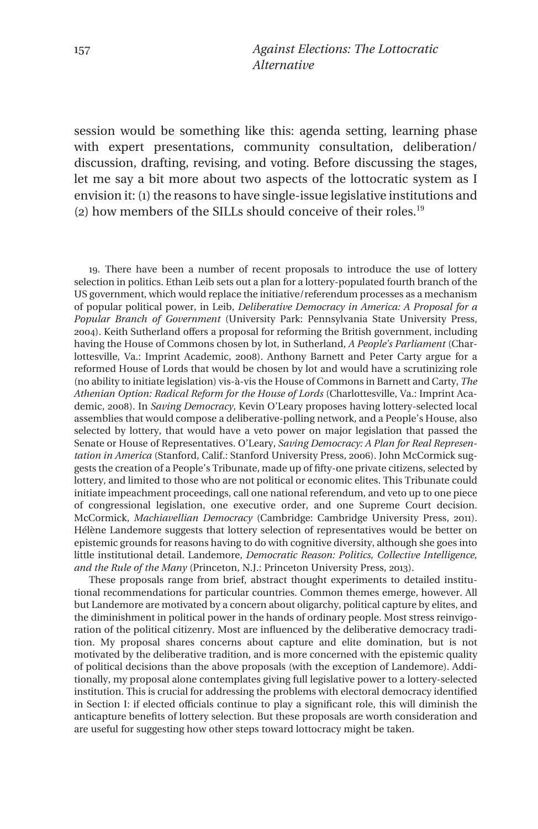session would be something like this: agenda setting, learning phase with expert presentations, community consultation, deliberation/ discussion, drafting, revising, and voting. Before discussing the stages, let me say a bit more about two aspects of the lottocratic system as I envision it: (1) the reasons to have single-issue legislative institutions and (2) how members of the SILLs should conceive of their roles.19

19. There have been a number of recent proposals to introduce the use of lottery selection in politics. Ethan Leib sets out a plan for a lottery-populated fourth branch of the US government, which would replace the initiative/referendum processes as a mechanism of popular political power, in Leib, *Deliberative Democracy in America: A Proposal for a Popular Branch of Government* (University Park: Pennsylvania State University Press, 2004). Keith Sutherland offers a proposal for reforming the British government, including having the House of Commons chosen by lot, in Sutherland, *A People's Parliament* (Charlottesville, Va.: Imprint Academic, 2008). Anthony Barnett and Peter Carty argue for a reformed House of Lords that would be chosen by lot and would have a scrutinizing role (no ability to initiate legislation) vis-à-vis the House of Commons in Barnett and Carty, *The Athenian Option: Radical Reform for the House of Lords* (Charlottesville, Va.: Imprint Academic, 2008). In *Saving Democracy*, Kevin O'Leary proposes having lottery-selected local assemblies that would compose a deliberative-polling network, and a People's House, also selected by lottery, that would have a veto power on major legislation that passed the Senate or House of Representatives. O'Leary, *Saving Democracy: A Plan for Real Representation in America* (Stanford, Calif.: Stanford University Press, 2006). John McCormick suggests the creation of a People's Tribunate, made up of fifty-one private citizens, selected by lottery, and limited to those who are not political or economic elites. This Tribunate could initiate impeachment proceedings, call one national referendum, and veto up to one piece of congressional legislation, one executive order, and one Supreme Court decision. McCormick, *Machiavellian Democracy* (Cambridge: Cambridge University Press, 2011). Hélène Landemore suggests that lottery selection of representatives would be better on epistemic grounds for reasons having to do with cognitive diversity, although she goes into little institutional detail. Landemore, *Democratic Reason: Politics, Collective Intelligence, and the Rule of the Many* (Princeton, N.J.: Princeton University Press, 2013).

These proposals range from brief, abstract thought experiments to detailed institutional recommendations for particular countries. Common themes emerge, however. All but Landemore are motivated by a concern about oligarchy, political capture by elites, and the diminishment in political power in the hands of ordinary people. Most stress reinvigoration of the political citizenry. Most are influenced by the deliberative democracy tradition. My proposal shares concerns about capture and elite domination, but is not motivated by the deliberative tradition, and is more concerned with the epistemic quality of political decisions than the above proposals (with the exception of Landemore). Additionally, my proposal alone contemplates giving full legislative power to a lottery-selected institution. This is crucial for addressing the problems with electoral democracy identified in Section I: if elected officials continue to play a significant role, this will diminish the anticapture benefits of lottery selection. But these proposals are worth consideration and are useful for suggesting how other steps toward lottocracy might be taken.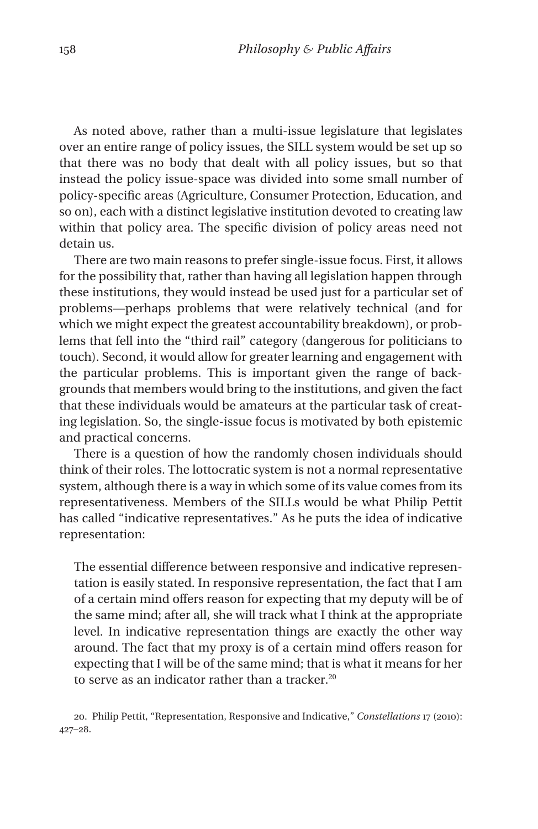As noted above, rather than a multi-issue legislature that legislates over an entire range of policy issues, the SILL system would be set up so that there was no body that dealt with all policy issues, but so that instead the policy issue-space was divided into some small number of policy-specific areas (Agriculture, Consumer Protection, Education, and so on), each with a distinct legislative institution devoted to creating law within that policy area. The specific division of policy areas need not detain us.

There are two main reasons to prefer single-issue focus. First, it allows for the possibility that, rather than having all legislation happen through these institutions, they would instead be used just for a particular set of problems—perhaps problems that were relatively technical (and for which we might expect the greatest accountability breakdown), or problems that fell into the "third rail" category (dangerous for politicians to touch). Second, it would allow for greater learning and engagement with the particular problems. This is important given the range of backgrounds that members would bring to the institutions, and given the fact that these individuals would be amateurs at the particular task of creating legislation. So, the single-issue focus is motivated by both epistemic and practical concerns.

There is a question of how the randomly chosen individuals should think of their roles. The lottocratic system is not a normal representative system, although there is a way in which some of its value comes from its representativeness. Members of the SILLs would be what Philip Pettit has called "indicative representatives." As he puts the idea of indicative representation:

The essential difference between responsive and indicative representation is easily stated. In responsive representation, the fact that I am of a certain mind offers reason for expecting that my deputy will be of the same mind; after all, she will track what I think at the appropriate level. In indicative representation things are exactly the other way around. The fact that my proxy is of a certain mind offers reason for expecting that I will be of the same mind; that is what it means for her to serve as an indicator rather than a tracker.<sup>20</sup>

<sup>20</sup>. Philip Pettit, "Representation, Responsive and Indicative," *Constellations* 17 (2010): 427–28.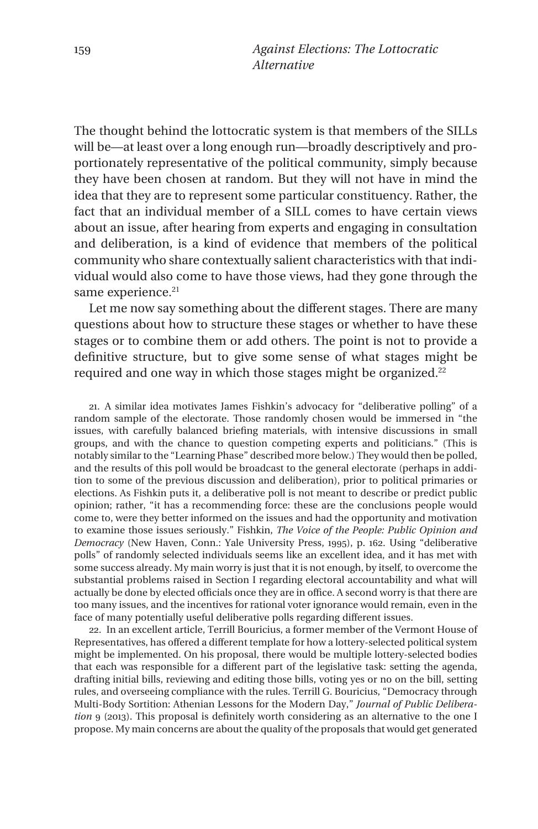The thought behind the lottocratic system is that members of the SILLs will be—at least over a long enough run—broadly descriptively and proportionately representative of the political community, simply because they have been chosen at random. But they will not have in mind the idea that they are to represent some particular constituency. Rather, the fact that an individual member of a SILL comes to have certain views about an issue, after hearing from experts and engaging in consultation and deliberation, is a kind of evidence that members of the political community who share contextually salient characteristics with that individual would also come to have those views, had they gone through the same experience.<sup>21</sup>

Let me now say something about the different stages. There are many questions about how to structure these stages or whether to have these stages or to combine them or add others. The point is not to provide a definitive structure, but to give some sense of what stages might be required and one way in which those stages might be organized.<sup>22</sup>

21. A similar idea motivates James Fishkin's advocacy for "deliberative polling" of a random sample of the electorate. Those randomly chosen would be immersed in "the issues, with carefully balanced briefing materials, with intensive discussions in small groups, and with the chance to question competing experts and politicians." (This is notably similar to the "Learning Phase" described more below.) They would then be polled, and the results of this poll would be broadcast to the general electorate (perhaps in addition to some of the previous discussion and deliberation), prior to political primaries or elections. As Fishkin puts it, a deliberative poll is not meant to describe or predict public opinion; rather, "it has a recommending force: these are the conclusions people would come to, were they better informed on the issues and had the opportunity and motivation to examine those issues seriously." Fishkin, *The Voice of the People: Public Opinion and Democracy* (New Haven, Conn.: Yale University Press, 1995), p. 162. Using "deliberative polls" of randomly selected individuals seems like an excellent idea, and it has met with some success already. My main worry is just that it is not enough, by itself, to overcome the substantial problems raised in Section I regarding electoral accountability and what will actually be done by elected officials once they are in office. A second worry is that there are too many issues, and the incentives for rational voter ignorance would remain, even in the face of many potentially useful deliberative polls regarding different issues.

22. In an excellent article, Terrill Bouricius, a former member of the Vermont House of Representatives, has offered a different template for how a lottery-selected political system might be implemented. On his proposal, there would be multiple lottery-selected bodies that each was responsible for a different part of the legislative task: setting the agenda, drafting initial bills, reviewing and editing those bills, voting yes or no on the bill, setting rules, and overseeing compliance with the rules. Terrill G. Bouricius, "Democracy through Multi-Body Sortition: Athenian Lessons for the Modern Day," *Journal of Public Deliberation* 9 (2013). This proposal is definitely worth considering as an alternative to the one I propose. My main concerns are about the quality of the proposals that would get generated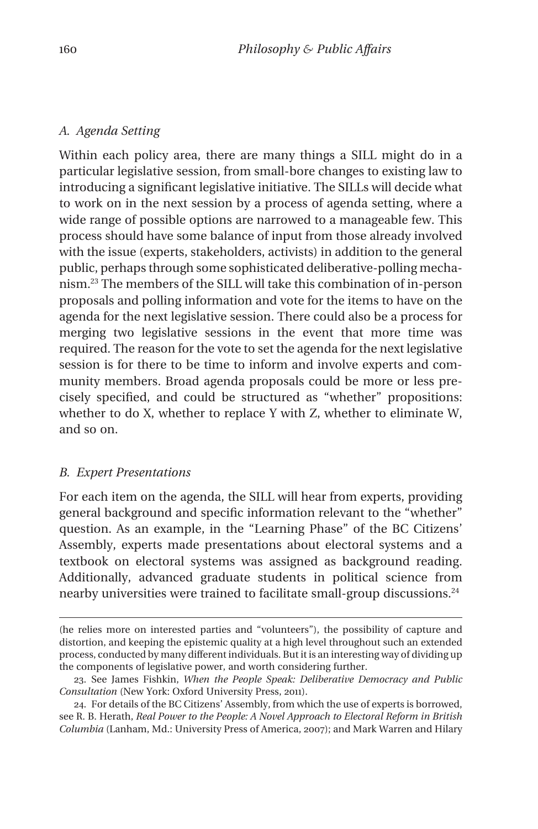# *A. Agenda Setting*

Within each policy area, there are many things a SILL might do in a particular legislative session, from small-bore changes to existing law to introducing a significant legislative initiative. The SILLs will decide what to work on in the next session by a process of agenda setting, where a wide range of possible options are narrowed to a manageable few. This process should have some balance of input from those already involved with the issue (experts, stakeholders, activists) in addition to the general public, perhaps through some sophisticated deliberative-polling mechanism.23 The members of the SILL will take this combination of in-person proposals and polling information and vote for the items to have on the agenda for the next legislative session. There could also be a process for merging two legislative sessions in the event that more time was required. The reason for the vote to set the agenda for the next legislative session is for there to be time to inform and involve experts and community members. Broad agenda proposals could be more or less precisely specified, and could be structured as "whether" propositions: whether to do X, whether to replace Y with Z, whether to eliminate W, and so on.

#### *B. Expert Presentations*

For each item on the agenda, the SILL will hear from experts, providing general background and specific information relevant to the "whether" question. As an example, in the "Learning Phase" of the BC Citizens' Assembly, experts made presentations about electoral systems and a textbook on electoral systems was assigned as background reading. Additionally, advanced graduate students in political science from nearby universities were trained to facilitate small-group discussions.<sup>24</sup>

<sup>(</sup>he relies more on interested parties and "volunteers"), the possibility of capture and distortion, and keeping the epistemic quality at a high level throughout such an extended process, conducted by many different individuals. But it is an interesting way of dividing up the components of legislative power, and worth considering further.

<sup>23</sup>. See James Fishkin, *When the People Speak: Deliberative Democracy and Public Consultation* (New York: Oxford University Press, 2011).

<sup>24</sup>. For details of the BC Citizens' Assembly, from which the use of experts is borrowed, see R. B. Herath, *Real Power to the People: A Novel Approach to Electoral Reform in British Columbia* (Lanham, Md.: University Press of America, 2007); and Mark Warren and Hilary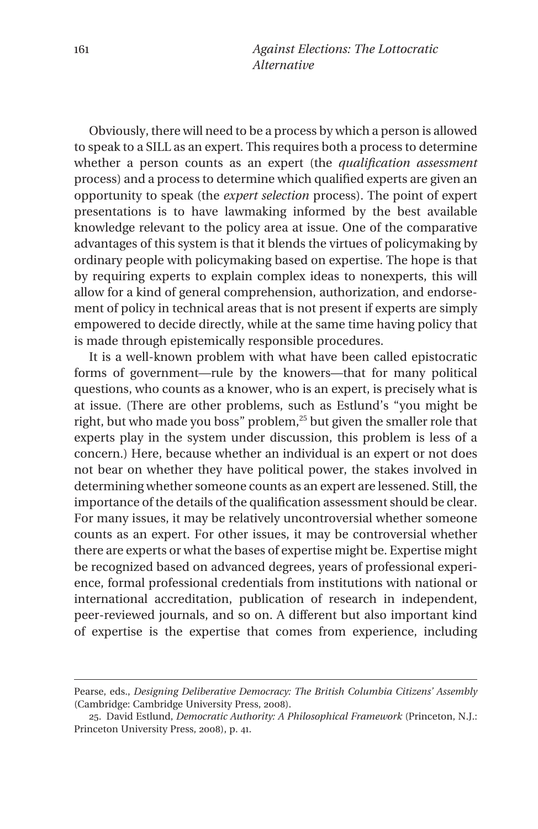Obviously, there will need to be a process by which a person is allowed to speak to a SILL as an expert. This requires both a process to determine whether a person counts as an expert (the *qualification assessment* process) and a process to determine which qualified experts are given an opportunity to speak (the *expert selection* process). The point of expert presentations is to have lawmaking informed by the best available knowledge relevant to the policy area at issue. One of the comparative advantages of this system is that it blends the virtues of policymaking by ordinary people with policymaking based on expertise. The hope is that by requiring experts to explain complex ideas to nonexperts, this will allow for a kind of general comprehension, authorization, and endorsement of policy in technical areas that is not present if experts are simply empowered to decide directly, while at the same time having policy that is made through epistemically responsible procedures.

It is a well-known problem with what have been called epistocratic forms of government—rule by the knowers—that for many political questions, who counts as a knower, who is an expert, is precisely what is at issue. (There are other problems, such as Estlund's "you might be right, but who made you boss" problem,<sup>25</sup> but given the smaller role that experts play in the system under discussion, this problem is less of a concern.) Here, because whether an individual is an expert or not does not bear on whether they have political power, the stakes involved in determining whether someone counts as an expert are lessened. Still, the importance of the details of the qualification assessment should be clear. For many issues, it may be relatively uncontroversial whether someone counts as an expert. For other issues, it may be controversial whether there are experts or what the bases of expertise might be. Expertise might be recognized based on advanced degrees, years of professional experience, formal professional credentials from institutions with national or international accreditation, publication of research in independent, peer-reviewed journals, and so on. A different but also important kind of expertise is the expertise that comes from experience, including

Pearse, eds., *Designing Deliberative Democracy: The British Columbia Citizens' Assembly* (Cambridge: Cambridge University Press, 2008).

<sup>25</sup>. David Estlund, *Democratic Authority: A Philosophical Framework* (Princeton, N.J.: Princeton University Press, 2008), p. 41.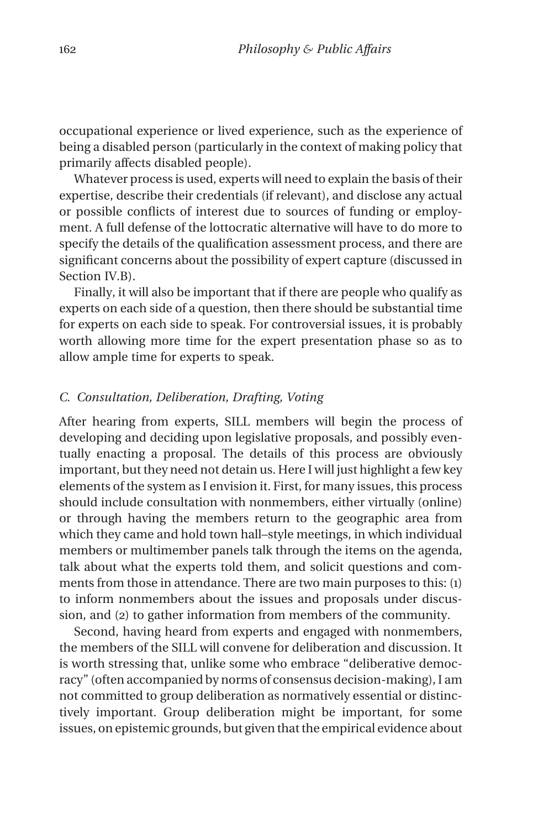occupational experience or lived experience, such as the experience of being a disabled person (particularly in the context of making policy that primarily affects disabled people).

Whatever process is used, experts will need to explain the basis of their expertise, describe their credentials (if relevant), and disclose any actual or possible conflicts of interest due to sources of funding or employment. A full defense of the lottocratic alternative will have to do more to specify the details of the qualification assessment process, and there are significant concerns about the possibility of expert capture (discussed in Section IV.B).

Finally, it will also be important that if there are people who qualify as experts on each side of a question, then there should be substantial time for experts on each side to speak. For controversial issues, it is probably worth allowing more time for the expert presentation phase so as to allow ample time for experts to speak.

## *C. Consultation, Deliberation, Drafting, Voting*

After hearing from experts, SILL members will begin the process of developing and deciding upon legislative proposals, and possibly eventually enacting a proposal. The details of this process are obviously important, but they need not detain us. Here I will just highlight a few key elements of the system as I envision it. First, for many issues, this process should include consultation with nonmembers, either virtually (online) or through having the members return to the geographic area from which they came and hold town hall–style meetings, in which individual members or multimember panels talk through the items on the agenda, talk about what the experts told them, and solicit questions and comments from those in attendance. There are two main purposes to this: (1) to inform nonmembers about the issues and proposals under discussion, and (2) to gather information from members of the community.

Second, having heard from experts and engaged with nonmembers, the members of the SILL will convene for deliberation and discussion. It is worth stressing that, unlike some who embrace "deliberative democracy" (often accompanied by norms of consensus decision-making), I am not committed to group deliberation as normatively essential or distinctively important. Group deliberation might be important, for some issues, on epistemic grounds, but given that the empirical evidence about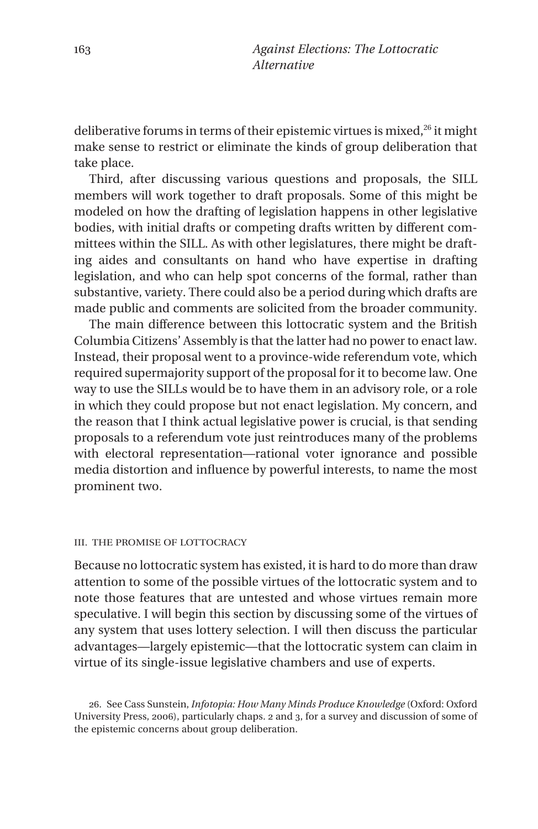deliberative forums in terms of their epistemic virtues is mixed, $26$  it might make sense to restrict or eliminate the kinds of group deliberation that take place.

Third, after discussing various questions and proposals, the SILL members will work together to draft proposals. Some of this might be modeled on how the drafting of legislation happens in other legislative bodies, with initial drafts or competing drafts written by different committees within the SILL. As with other legislatures, there might be drafting aides and consultants on hand who have expertise in drafting legislation, and who can help spot concerns of the formal, rather than substantive, variety. There could also be a period during which drafts are made public and comments are solicited from the broader community.

The main difference between this lottocratic system and the British Columbia Citizens' Assembly is that the latter had no power to enact law. Instead, their proposal went to a province-wide referendum vote, which required supermajority support of the proposal for it to become law. One way to use the SILLs would be to have them in an advisory role, or a role in which they could propose but not enact legislation. My concern, and the reason that I think actual legislative power is crucial, is that sending proposals to a referendum vote just reintroduces many of the problems with electoral representation—rational voter ignorance and possible media distortion and influence by powerful interests, to name the most prominent two.

#### III. THE PROMISE OF LOTTOCRACY

Because no lottocratic system has existed, it is hard to do more than draw attention to some of the possible virtues of the lottocratic system and to note those features that are untested and whose virtues remain more speculative. I will begin this section by discussing some of the virtues of any system that uses lottery selection. I will then discuss the particular advantages—largely epistemic—that the lottocratic system can claim in virtue of its single-issue legislative chambers and use of experts.

26. See Cass Sunstein, *Infotopia: How Many Minds Produce Knowledge* (Oxford: Oxford University Press, 2006), particularly chaps. 2 and 3, for a survey and discussion of some of the epistemic concerns about group deliberation.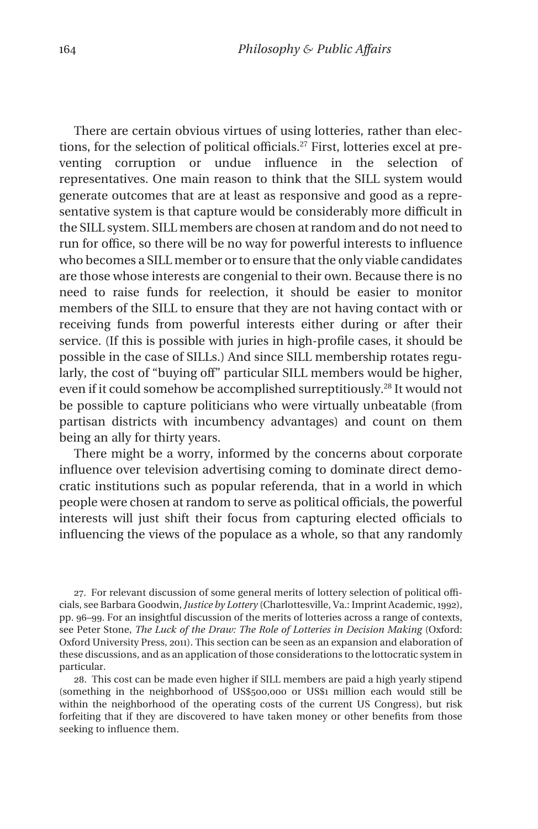There are certain obvious virtues of using lotteries, rather than elections, for the selection of political officials.<sup>27</sup> First, lotteries excel at preventing corruption or undue influence in the selection of representatives. One main reason to think that the SILL system would generate outcomes that are at least as responsive and good as a representative system is that capture would be considerably more difficult in the SILL system. SILL members are chosen at random and do not need to run for office, so there will be no way for powerful interests to influence who becomes a SILL member or to ensure that the only viable candidates are those whose interests are congenial to their own. Because there is no need to raise funds for reelection, it should be easier to monitor members of the SILL to ensure that they are not having contact with or receiving funds from powerful interests either during or after their service. (If this is possible with juries in high-profile cases, it should be possible in the case of SILLs.) And since SILL membership rotates regularly, the cost of "buying off" particular SILL members would be higher, even if it could somehow be accomplished surreptitiously.28 It would not be possible to capture politicians who were virtually unbeatable (from partisan districts with incumbency advantages) and count on them being an ally for thirty years.

There might be a worry, informed by the concerns about corporate influence over television advertising coming to dominate direct democratic institutions such as popular referenda, that in a world in which people were chosen at random to serve as political officials, the powerful interests will just shift their focus from capturing elected officials to influencing the views of the populace as a whole, so that any randomly

27. For relevant discussion of some general merits of lottery selection of political officials, see Barbara Goodwin, *Justice by Lottery* (Charlottesville, Va.: Imprint Academic, 1992), pp. 96–99. For an insightful discussion of the merits of lotteries across a range of contexts, see Peter Stone, *The Luck of the Draw: The Role of Lotteries in Decision Making* (Oxford: Oxford University Press, 2011). This section can be seen as an expansion and elaboration of these discussions, and as an application of those considerations to the lottocratic system in particular.

28. This cost can be made even higher if SILL members are paid a high yearly stipend (something in the neighborhood of US\$500,000 or US\$1 million each would still be within the neighborhood of the operating costs of the current US Congress), but risk forfeiting that if they are discovered to have taken money or other benefits from those seeking to influence them.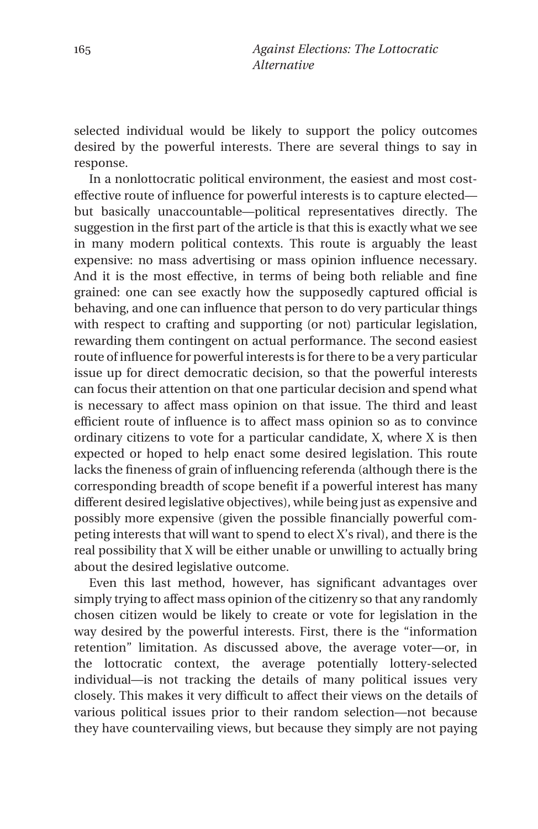selected individual would be likely to support the policy outcomes desired by the powerful interests. There are several things to say in response.

In a nonlottocratic political environment, the easiest and most costeffective route of influence for powerful interests is to capture elected but basically unaccountable—political representatives directly. The suggestion in the first part of the article is that this is exactly what we see in many modern political contexts. This route is arguably the least expensive: no mass advertising or mass opinion influence necessary. And it is the most effective, in terms of being both reliable and fine grained: one can see exactly how the supposedly captured official is behaving, and one can influence that person to do very particular things with respect to crafting and supporting (or not) particular legislation, rewarding them contingent on actual performance. The second easiest route of influence for powerful interests is for there to be a very particular issue up for direct democratic decision, so that the powerful interests can focus their attention on that one particular decision and spend what is necessary to affect mass opinion on that issue. The third and least efficient route of influence is to affect mass opinion so as to convince ordinary citizens to vote for a particular candidate, X, where X is then expected or hoped to help enact some desired legislation. This route lacks the fineness of grain of influencing referenda (although there is the corresponding breadth of scope benefit if a powerful interest has many different desired legislative objectives), while being just as expensive and possibly more expensive (given the possible financially powerful competing interests that will want to spend to elect X's rival), and there is the real possibility that X will be either unable or unwilling to actually bring about the desired legislative outcome.

Even this last method, however, has significant advantages over simply trying to affect mass opinion of the citizenry so that any randomly chosen citizen would be likely to create or vote for legislation in the way desired by the powerful interests. First, there is the "information retention" limitation. As discussed above, the average voter—or, in the lottocratic context, the average potentially lottery-selected individual—is not tracking the details of many political issues very closely. This makes it very difficult to affect their views on the details of various political issues prior to their random selection—not because they have countervailing views, but because they simply are not paying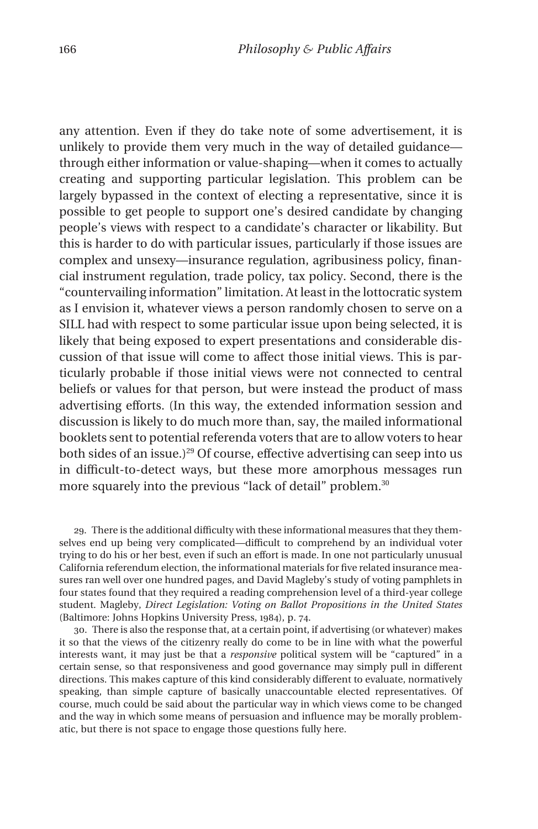any attention. Even if they do take note of some advertisement, it is unlikely to provide them very much in the way of detailed guidance through either information or value-shaping—when it comes to actually creating and supporting particular legislation. This problem can be largely bypassed in the context of electing a representative, since it is possible to get people to support one's desired candidate by changing people's views with respect to a candidate's character or likability. But this is harder to do with particular issues, particularly if those issues are complex and unsexy—insurance regulation, agribusiness policy, financial instrument regulation, trade policy, tax policy. Second, there is the "countervailing information" limitation. At least in the lottocratic system as I envision it, whatever views a person randomly chosen to serve on a SILL had with respect to some particular issue upon being selected, it is likely that being exposed to expert presentations and considerable discussion of that issue will come to affect those initial views. This is particularly probable if those initial views were not connected to central beliefs or values for that person, but were instead the product of mass advertising efforts. (In this way, the extended information session and discussion is likely to do much more than, say, the mailed informational booklets sent to potential referenda voters that are to allow voters to hear both sides of an issue.)<sup>29</sup> Of course, effective advertising can seep into us in difficult-to-detect ways, but these more amorphous messages run more squarely into the previous "lack of detail" problem.<sup>30</sup>

29. There is the additional difficulty with these informational measures that they themselves end up being very complicated—difficult to comprehend by an individual voter trying to do his or her best, even if such an effort is made. In one not particularly unusual California referendum election, the informational materials for five related insurance measures ran well over one hundred pages, and David Magleby's study of voting pamphlets in four states found that they required a reading comprehension level of a third-year college student. Magleby, *Direct Legislation: Voting on Ballot Propositions in the United States* (Baltimore: Johns Hopkins University Press, 1984), p. 74.

30. There is also the response that, at a certain point, if advertising (or whatever) makes it so that the views of the citizenry really do come to be in line with what the powerful interests want, it may just be that a *responsive* political system will be "captured" in a certain sense, so that responsiveness and good governance may simply pull in different directions. This makes capture of this kind considerably different to evaluate, normatively speaking, than simple capture of basically unaccountable elected representatives. Of course, much could be said about the particular way in which views come to be changed and the way in which some means of persuasion and influence may be morally problematic, but there is not space to engage those questions fully here.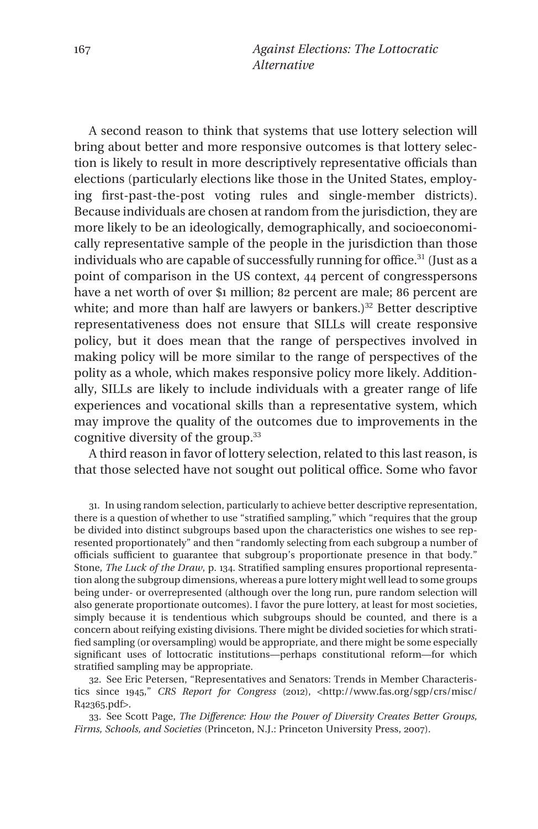A second reason to think that systems that use lottery selection will bring about better and more responsive outcomes is that lottery selection is likely to result in more descriptively representative officials than elections (particularly elections like those in the United States, employing first-past-the-post voting rules and single-member districts). Because individuals are chosen at random from the jurisdiction, they are more likely to be an ideologically, demographically, and socioeconomically representative sample of the people in the jurisdiction than those individuals who are capable of successfully running for office.<sup>31</sup> (Just as a point of comparison in the US context, 44 percent of congresspersons have a net worth of over \$1 million; 82 percent are male; 86 percent are white; and more than half are lawyers or bankers.)<sup>32</sup> Better descriptive representativeness does not ensure that SILLs will create responsive policy, but it does mean that the range of perspectives involved in making policy will be more similar to the range of perspectives of the polity as a whole, which makes responsive policy more likely. Additionally, SILLs are likely to include individuals with a greater range of life experiences and vocational skills than a representative system, which may improve the quality of the outcomes due to improvements in the cognitive diversity of the group.33

A third reason in favor of lottery selection, related to this last reason, is that those selected have not sought out political office. Some who favor

31. In using random selection, particularly to achieve better descriptive representation, there is a question of whether to use "stratified sampling," which "requires that the group be divided into distinct subgroups based upon the characteristics one wishes to see represented proportionately" and then "randomly selecting from each subgroup a number of officials sufficient to guarantee that subgroup's proportionate presence in that body." Stone, *The Luck of the Draw*, p. 134. Stratified sampling ensures proportional representation along the subgroup dimensions, whereas a pure lottery might well lead to some groups being under- or overrepresented (although over the long run, pure random selection will also generate proportionate outcomes). I favor the pure lottery, at least for most societies, simply because it is tendentious which subgroups should be counted, and there is a concern about reifying existing divisions. There might be divided societies for which stratified sampling (or oversampling) would be appropriate, and there might be some especially significant uses of lottocratic institutions—perhaps constitutional reform—for which stratified sampling may be appropriate.

32. See Eric Petersen, "Representatives and Senators: Trends in Member Characteristics since 1945," *CRS Report for Congress* (2012), <[http://www.fas.org/sgp/crs/misc/](http://www.fas.org/sgp/crs/misc/R42365.pdf) R[42365](http://www.fas.org/sgp/crs/misc/R42365.pdf).pdf>.

33. See Scott Page, *The Difference: How the Power of Diversity Creates Better Groups, Firms, Schools, and Societies* (Princeton, N.J.: Princeton University Press, 2007).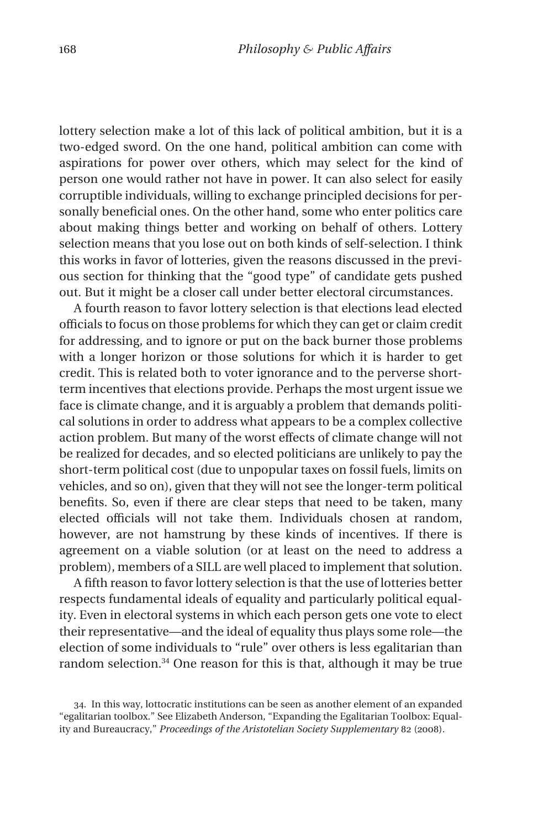lottery selection make a lot of this lack of political ambition, but it is a two-edged sword. On the one hand, political ambition can come with aspirations for power over others, which may select for the kind of person one would rather not have in power. It can also select for easily corruptible individuals, willing to exchange principled decisions for personally beneficial ones. On the other hand, some who enter politics care about making things better and working on behalf of others. Lottery selection means that you lose out on both kinds of self-selection. I think this works in favor of lotteries, given the reasons discussed in the previous section for thinking that the "good type" of candidate gets pushed out. But it might be a closer call under better electoral circumstances.

A fourth reason to favor lottery selection is that elections lead elected officials to focus on those problems for which they can get or claim credit for addressing, and to ignore or put on the back burner those problems with a longer horizon or those solutions for which it is harder to get credit. This is related both to voter ignorance and to the perverse shortterm incentives that elections provide. Perhaps the most urgent issue we face is climate change, and it is arguably a problem that demands political solutions in order to address what appears to be a complex collective action problem. But many of the worst effects of climate change will not be realized for decades, and so elected politicians are unlikely to pay the short-term political cost (due to unpopular taxes on fossil fuels, limits on vehicles, and so on), given that they will not see the longer-term political benefits. So, even if there are clear steps that need to be taken, many elected officials will not take them. Individuals chosen at random, however, are not hamstrung by these kinds of incentives. If there is agreement on a viable solution (or at least on the need to address a problem), members of a SILL are well placed to implement that solution.

A fifth reason to favor lottery selection is that the use of lotteries better respects fundamental ideals of equality and particularly political equality. Even in electoral systems in which each person gets one vote to elect their representative—and the ideal of equality thus plays some role—the election of some individuals to "rule" over others is less egalitarian than random selection.<sup>34</sup> One reason for this is that, although it may be true

<sup>34</sup>. In this way, lottocratic institutions can be seen as another element of an expanded "egalitarian toolbox." See Elizabeth Anderson, "Expanding the Egalitarian Toolbox: Equality and Bureaucracy," *Proceedings of the Aristotelian Society Supplementary* 82 (2008).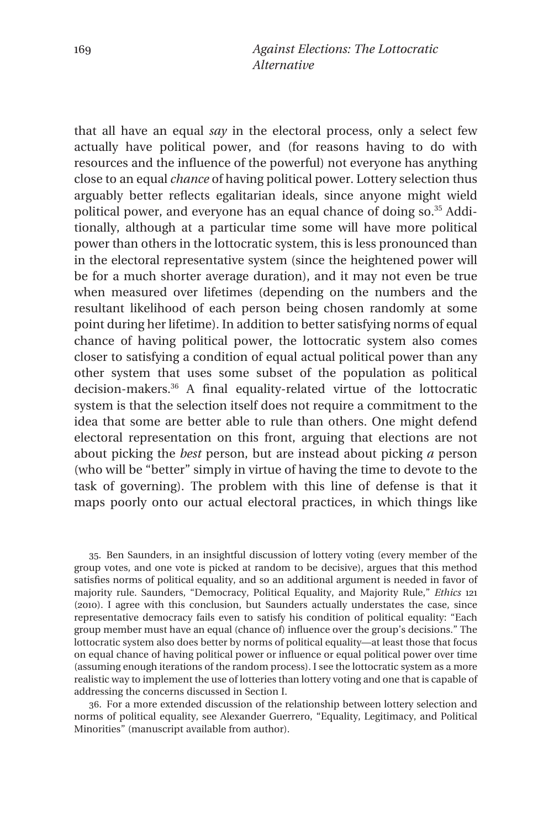that all have an equal *say* in the electoral process, only a select few actually have political power, and (for reasons having to do with resources and the influence of the powerful) not everyone has anything close to an equal *chance* of having political power. Lottery selection thus arguably better reflects egalitarian ideals, since anyone might wield political power, and everyone has an equal chance of doing so.<sup>35</sup> Additionally, although at a particular time some will have more political power than others in the lottocratic system, this is less pronounced than in the electoral representative system (since the heightened power will be for a much shorter average duration), and it may not even be true when measured over lifetimes (depending on the numbers and the resultant likelihood of each person being chosen randomly at some point during her lifetime). In addition to better satisfying norms of equal chance of having political power, the lottocratic system also comes closer to satisfying a condition of equal actual political power than any other system that uses some subset of the population as political decision-makers.36 A final equality-related virtue of the lottocratic system is that the selection itself does not require a commitment to the idea that some are better able to rule than others. One might defend electoral representation on this front, arguing that elections are not about picking the *best* person, but are instead about picking *a* person (who will be "better" simply in virtue of having the time to devote to the task of governing). The problem with this line of defense is that it maps poorly onto our actual electoral practices, in which things like

35. Ben Saunders, in an insightful discussion of lottery voting (every member of the group votes, and one vote is picked at random to be decisive), argues that this method satisfies norms of political equality, and so an additional argument is needed in favor of majority rule. Saunders, "Democracy, Political Equality, and Majority Rule," *Ethics* 121 (2010). I agree with this conclusion, but Saunders actually understates the case, since representative democracy fails even to satisfy his condition of political equality: "Each group member must have an equal (chance of) influence over the group's decisions." The lottocratic system also does better by norms of political equality—at least those that focus on equal chance of having political power or influence or equal political power over time (assuming enough iterations of the random process). I see the lottocratic system as a more realistic way to implement the use of lotteries than lottery voting and one that is capable of addressing the concerns discussed in Section I.

36. For a more extended discussion of the relationship between lottery selection and norms of political equality, see Alexander Guerrero, "Equality, Legitimacy, and Political Minorities" (manuscript available from author).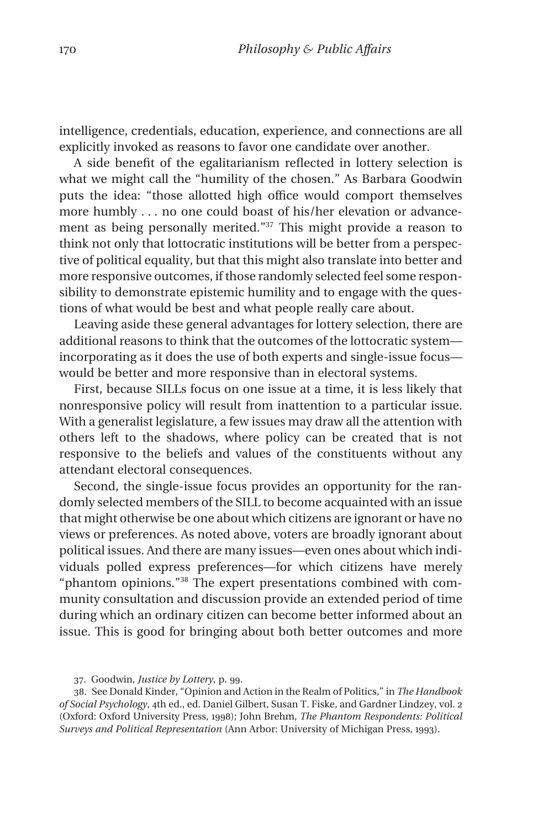intelligence, credentials, education, experience, and connections are all explicitly invoked as reasons to favor one candidate over another.

A side benefit of the egalitarianism reflected in lottery selection is what we might call the "humility of the chosen." As Barbara Goodwin puts the idea: "those allotted high office would comport themselves more humbly . . . no one could boast of his/her elevation or advancement as being personally merited."37 This might provide a reason to think not only that lottocratic institutions will be better from a perspective of political equality, but that this might also translate into better and more responsive outcomes, if those randomly selected feel some responsibility to demonstrate epistemic humility and to engage with the questions of what would be best and what people really care about.

Leaving aside these general advantages for lottery selection, there are additional reasons to think that the outcomes of the lottocratic system incorporating as it does the use of both experts and single-issue focus would be better and more responsive than in electoral systems.

First, because SILLs focus on one issue at a time, it is less likely that nonresponsive policy will result from inattention to a particular issue. With a generalist legislature, a few issues may draw all the attention with others left to the shadows, where policy can be created that is not responsive to the beliefs and values of the constituents without any attendant electoral consequences.

Second, the single-issue focus provides an opportunity for the randomly selected members of the SILL to become acquainted with an issue that might otherwise be one about which citizens are ignorant or have no views or preferences. As noted above, voters are broadly ignorant about political issues. And there are many issues—even ones about which individuals polled express preferences—for which citizens have merely "phantom opinions."38 The expert presentations combined with community consultation and discussion provide an extended period of time during which an ordinary citizen can become better informed about an issue. This is good for bringing about both better outcomes and more

38. See Donald Kinder, "Opinion and Action in the Realm of Politics," in *The Handbook of Social Psychology*, 4th ed., ed. Daniel Gilbert, Susan T. Fiske, and Gardner Lindzey, vol. 2 (Oxford: Oxford University Press, 1998); John Brehm, *The Phantom Respondents: Political Surveys and Political Representation* (Ann Arbor: University of Michigan Press, 1993).

<sup>37</sup>. Goodwin, *Justice by Lottery*, p. 99.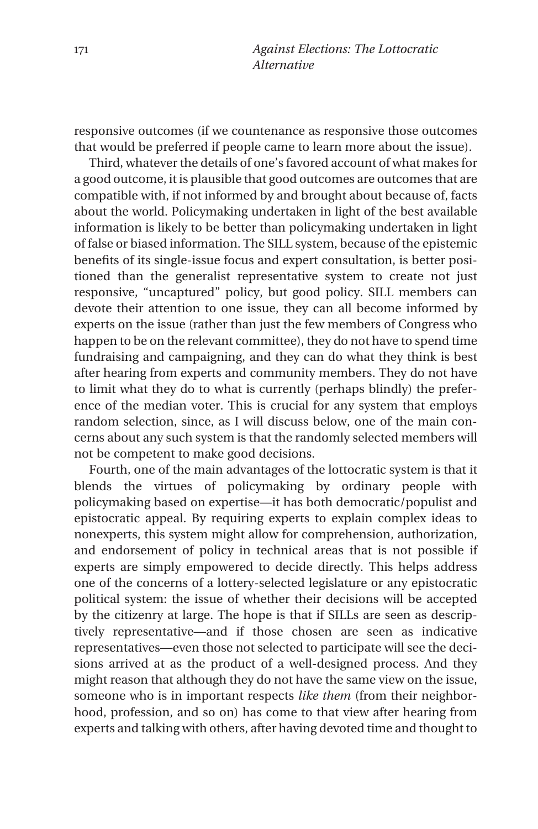responsive outcomes (if we countenance as responsive those outcomes that would be preferred if people came to learn more about the issue).

Third, whatever the details of one's favored account of what makes for a good outcome, it is plausible that good outcomes are outcomes that are compatible with, if not informed by and brought about because of, facts about the world. Policymaking undertaken in light of the best available information is likely to be better than policymaking undertaken in light of false or biased information. The SILL system, because of the epistemic benefits of its single-issue focus and expert consultation, is better positioned than the generalist representative system to create not just responsive, "uncaptured" policy, but good policy. SILL members can devote their attention to one issue, they can all become informed by experts on the issue (rather than just the few members of Congress who happen to be on the relevant committee), they do not have to spend time fundraising and campaigning, and they can do what they think is best after hearing from experts and community members. They do not have to limit what they do to what is currently (perhaps blindly) the preference of the median voter. This is crucial for any system that employs random selection, since, as I will discuss below, one of the main concerns about any such system is that the randomly selected members will not be competent to make good decisions.

Fourth, one of the main advantages of the lottocratic system is that it blends the virtues of policymaking by ordinary people with policymaking based on expertise—it has both democratic/populist and epistocratic appeal. By requiring experts to explain complex ideas to nonexperts, this system might allow for comprehension, authorization, and endorsement of policy in technical areas that is not possible if experts are simply empowered to decide directly. This helps address one of the concerns of a lottery-selected legislature or any epistocratic political system: the issue of whether their decisions will be accepted by the citizenry at large. The hope is that if SILLs are seen as descriptively representative—and if those chosen are seen as indicative representatives—even those not selected to participate will see the decisions arrived at as the product of a well-designed process. And they might reason that although they do not have the same view on the issue, someone who is in important respects *like them* (from their neighborhood, profession, and so on) has come to that view after hearing from experts and talking with others, after having devoted time and thought to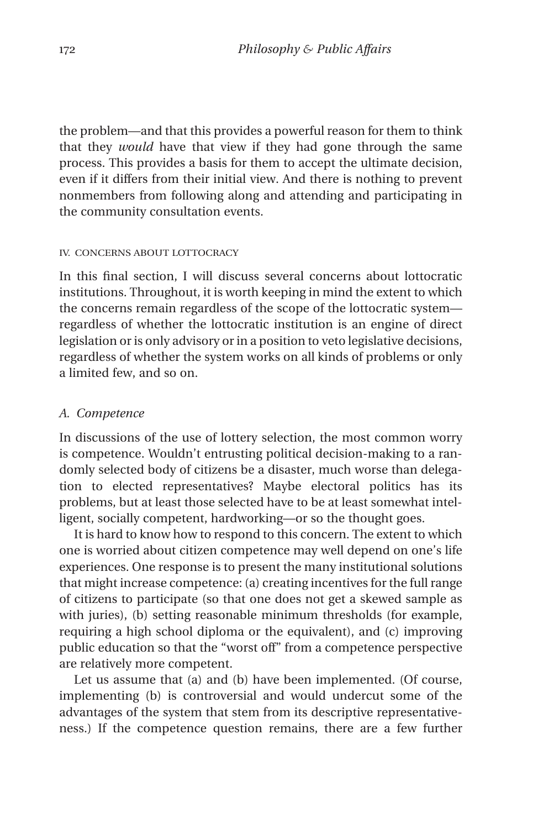the problem—and that this provides a powerful reason for them to think that they *would* have that view if they had gone through the same process. This provides a basis for them to accept the ultimate decision, even if it differs from their initial view. And there is nothing to prevent nonmembers from following along and attending and participating in the community consultation events.

#### IV. CONCERNS ABOUT LOTTOCRACY

In this final section, I will discuss several concerns about lottocratic institutions. Throughout, it is worth keeping in mind the extent to which the concerns remain regardless of the scope of the lottocratic system regardless of whether the lottocratic institution is an engine of direct legislation or is only advisory or in a position to veto legislative decisions, regardless of whether the system works on all kinds of problems or only a limited few, and so on.

### *A. Competence*

In discussions of the use of lottery selection, the most common worry is competence. Wouldn't entrusting political decision-making to a randomly selected body of citizens be a disaster, much worse than delegation to elected representatives? Maybe electoral politics has its problems, but at least those selected have to be at least somewhat intelligent, socially competent, hardworking—or so the thought goes.

It is hard to know how to respond to this concern. The extent to which one is worried about citizen competence may well depend on one's life experiences. One response is to present the many institutional solutions that might increase competence: (a) creating incentives for the full range of citizens to participate (so that one does not get a skewed sample as with juries), (b) setting reasonable minimum thresholds (for example, requiring a high school diploma or the equivalent), and (c) improving public education so that the "worst off" from a competence perspective are relatively more competent.

Let us assume that (a) and (b) have been implemented. (Of course, implementing (b) is controversial and would undercut some of the advantages of the system that stem from its descriptive representativeness.) If the competence question remains, there are a few further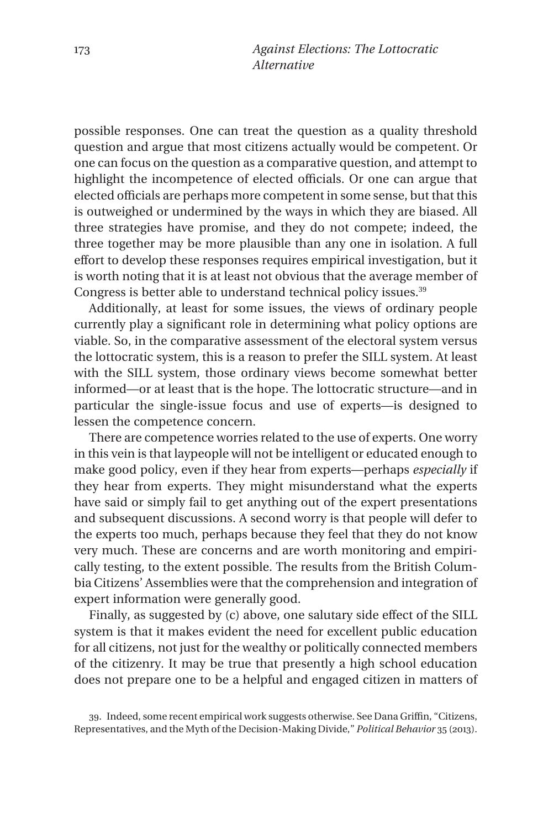possible responses. One can treat the question as a quality threshold question and argue that most citizens actually would be competent. Or one can focus on the question as a comparative question, and attempt to highlight the incompetence of elected officials. Or one can argue that elected officials are perhaps more competent in some sense, but that this is outweighed or undermined by the ways in which they are biased. All three strategies have promise, and they do not compete; indeed, the three together may be more plausible than any one in isolation. A full effort to develop these responses requires empirical investigation, but it is worth noting that it is at least not obvious that the average member of Congress is better able to understand technical policy issues.<sup>39</sup>

Additionally, at least for some issues, the views of ordinary people currently play a significant role in determining what policy options are viable. So, in the comparative assessment of the electoral system versus the lottocratic system, this is a reason to prefer the SILL system. At least with the SILL system, those ordinary views become somewhat better informed—or at least that is the hope. The lottocratic structure—and in particular the single-issue focus and use of experts—is designed to lessen the competence concern.

There are competence worries related to the use of experts. One worry in this vein is that laypeople will not be intelligent or educated enough to make good policy, even if they hear from experts—perhaps *especially* if they hear from experts. They might misunderstand what the experts have said or simply fail to get anything out of the expert presentations and subsequent discussions. A second worry is that people will defer to the experts too much, perhaps because they feel that they do not know very much. These are concerns and are worth monitoring and empirically testing, to the extent possible. The results from the British Columbia Citizens' Assemblies were that the comprehension and integration of expert information were generally good.

Finally, as suggested by (c) above, one salutary side effect of the SILL system is that it makes evident the need for excellent public education for all citizens, not just for the wealthy or politically connected members of the citizenry. It may be true that presently a high school education does not prepare one to be a helpful and engaged citizen in matters of

<sup>39</sup>. Indeed, some recent empirical work suggests otherwise. See Dana Griffin, "Citizens, Representatives, and the Myth of the Decision-Making Divide," *Political Behavior* 35 (2013).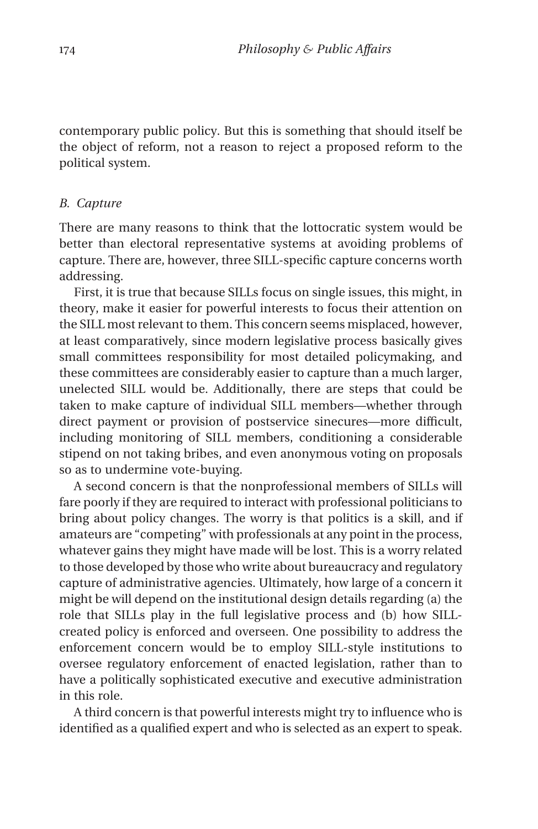contemporary public policy. But this is something that should itself be the object of reform, not a reason to reject a proposed reform to the political system.

#### *B. Capture*

There are many reasons to think that the lottocratic system would be better than electoral representative systems at avoiding problems of capture. There are, however, three SILL-specific capture concerns worth addressing.

First, it is true that because SILLs focus on single issues, this might, in theory, make it easier for powerful interests to focus their attention on the SILL most relevant to them. This concern seems misplaced, however, at least comparatively, since modern legislative process basically gives small committees responsibility for most detailed policymaking, and these committees are considerably easier to capture than a much larger, unelected SILL would be. Additionally, there are steps that could be taken to make capture of individual SILL members—whether through direct payment or provision of postservice sinecures—more difficult, including monitoring of SILL members, conditioning a considerable stipend on not taking bribes, and even anonymous voting on proposals so as to undermine vote-buying.

A second concern is that the nonprofessional members of SILLs will fare poorly if they are required to interact with professional politicians to bring about policy changes. The worry is that politics is a skill, and if amateurs are "competing" with professionals at any point in the process, whatever gains they might have made will be lost. This is a worry related to those developed by those who write about bureaucracy and regulatory capture of administrative agencies. Ultimately, how large of a concern it might be will depend on the institutional design details regarding (a) the role that SILLs play in the full legislative process and (b) how SILLcreated policy is enforced and overseen. One possibility to address the enforcement concern would be to employ SILL-style institutions to oversee regulatory enforcement of enacted legislation, rather than to have a politically sophisticated executive and executive administration in this role.

A third concern is that powerful interests might try to influence who is identified as a qualified expert and who is selected as an expert to speak.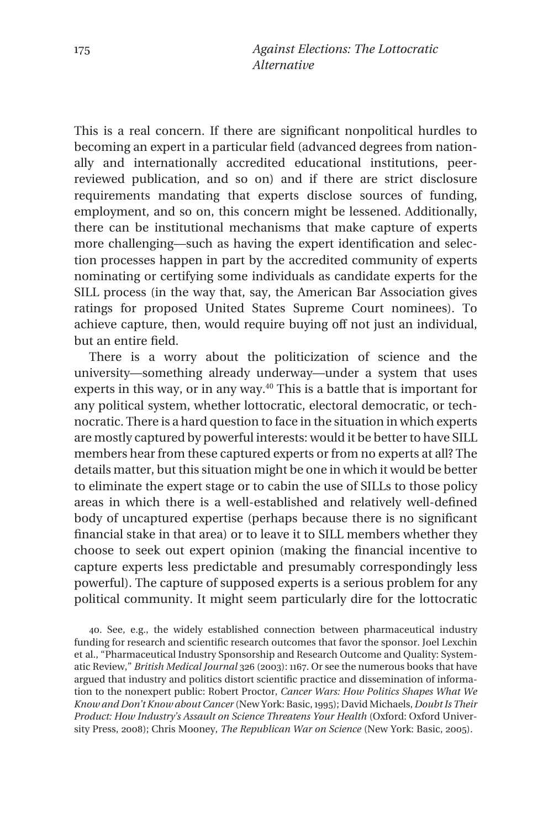This is a real concern. If there are significant nonpolitical hurdles to becoming an expert in a particular field (advanced degrees from nationally and internationally accredited educational institutions, peerreviewed publication, and so on) and if there are strict disclosure requirements mandating that experts disclose sources of funding, employment, and so on, this concern might be lessened. Additionally, there can be institutional mechanisms that make capture of experts more challenging—such as having the expert identification and selection processes happen in part by the accredited community of experts nominating or certifying some individuals as candidate experts for the SILL process (in the way that, say, the American Bar Association gives ratings for proposed United States Supreme Court nominees). To achieve capture, then, would require buying off not just an individual, but an entire field.

There is a worry about the politicization of science and the university—something already underway—under a system that uses experts in this way, or in any way.<sup>40</sup> This is a battle that is important for any political system, whether lottocratic, electoral democratic, or technocratic. There is a hard question to face in the situation in which experts are mostly captured by powerful interests: would it be better to have SILL members hear from these captured experts or from no experts at all? The details matter, but this situation might be one in which it would be better to eliminate the expert stage or to cabin the use of SILLs to those policy areas in which there is a well-established and relatively well-defined body of uncaptured expertise (perhaps because there is no significant financial stake in that area) or to leave it to SILL members whether they choose to seek out expert opinion (making the financial incentive to capture experts less predictable and presumably correspondingly less powerful). The capture of supposed experts is a serious problem for any political community. It might seem particularly dire for the lottocratic

40. See, e.g., the widely established connection between pharmaceutical industry funding for research and scientific research outcomes that favor the sponsor. Joel Lexchin et al., "Pharmaceutical Industry Sponsorship and Research Outcome and Quality: Systematic Review," *British Medical Journal* 326 (2003): 1167. Or see the numerous books that have argued that industry and politics distort scientific practice and dissemination of information to the nonexpert public: Robert Proctor, *Cancer Wars: How Politics Shapes What We Know and Don't Know about Cancer* (New York: Basic, 1995); David Michaels, *Doubt Is Their Product: How Industry's Assault on Science Threatens Your Health* (Oxford: Oxford University Press, 2008); Chris Mooney, *The Republican War on Science* (New York: Basic, 2005).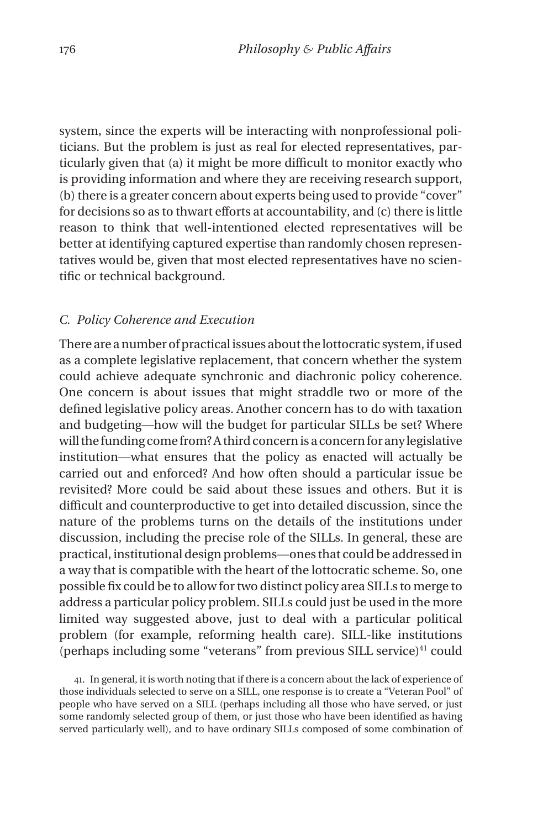system, since the experts will be interacting with nonprofessional politicians. But the problem is just as real for elected representatives, particularly given that (a) it might be more difficult to monitor exactly who is providing information and where they are receiving research support, (b) there is a greater concern about experts being used to provide "cover" for decisions so as to thwart efforts at accountability, and (c) there is little reason to think that well-intentioned elected representatives will be better at identifying captured expertise than randomly chosen representatives would be, given that most elected representatives have no scientific or technical background.

#### *C. Policy Coherence and Execution*

There are a number of practical issues about the lottocratic system, if used as a complete legislative replacement, that concern whether the system could achieve adequate synchronic and diachronic policy coherence. One concern is about issues that might straddle two or more of the defined legislative policy areas. Another concern has to do with taxation and budgeting—how will the budget for particular SILLs be set? Where will the funding come from? A third concern is a concern for any legislative institution—what ensures that the policy as enacted will actually be carried out and enforced? And how often should a particular issue be revisited? More could be said about these issues and others. But it is difficult and counterproductive to get into detailed discussion, since the nature of the problems turns on the details of the institutions under discussion, including the precise role of the SILLs. In general, these are practical, institutional design problems—ones that could be addressed in a way that is compatible with the heart of the lottocratic scheme. So, one possible fix could be to allow for two distinct policy area SILLs to merge to address a particular policy problem. SILLs could just be used in the more limited way suggested above, just to deal with a particular political problem (for example, reforming health care). SILL-like institutions (perhaps including some "veterans" from previous SILL service) $41$  could

41. In general, it is worth noting that if there is a concern about the lack of experience of those individuals selected to serve on a SILL, one response is to create a "Veteran Pool" of people who have served on a SILL (perhaps including all those who have served, or just some randomly selected group of them, or just those who have been identified as having served particularly well), and to have ordinary SILLs composed of some combination of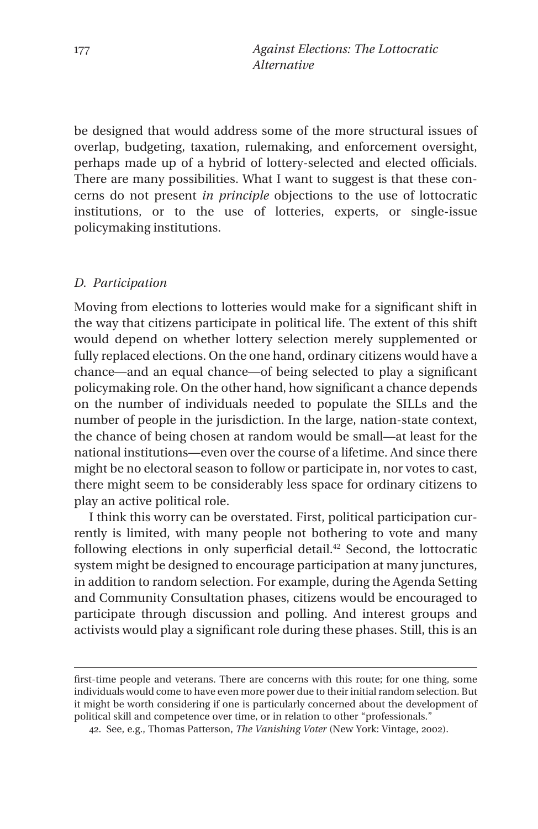be designed that would address some of the more structural issues of overlap, budgeting, taxation, rulemaking, and enforcement oversight, perhaps made up of a hybrid of lottery-selected and elected officials. There are many possibilities. What I want to suggest is that these concerns do not present *in principle* objections to the use of lottocratic institutions, or to the use of lotteries, experts, or single-issue policymaking institutions.

### *D. Participation*

Moving from elections to lotteries would make for a significant shift in the way that citizens participate in political life. The extent of this shift would depend on whether lottery selection merely supplemented or fully replaced elections. On the one hand, ordinary citizens would have a chance—and an equal chance—of being selected to play a significant policymaking role. On the other hand, how significant a chance depends on the number of individuals needed to populate the SILLs and the number of people in the jurisdiction. In the large, nation-state context, the chance of being chosen at random would be small—at least for the national institutions—even over the course of a lifetime. And since there might be no electoral season to follow or participate in, nor votes to cast, there might seem to be considerably less space for ordinary citizens to play an active political role.

I think this worry can be overstated. First, political participation currently is limited, with many people not bothering to vote and many following elections in only superficial detail.42 Second, the lottocratic system might be designed to encourage participation at many junctures, in addition to random selection. For example, during the Agenda Setting and Community Consultation phases, citizens would be encouraged to participate through discussion and polling. And interest groups and activists would play a significant role during these phases. Still, this is an

first-time people and veterans. There are concerns with this route; for one thing, some individuals would come to have even more power due to their initial random selection. But it might be worth considering if one is particularly concerned about the development of political skill and competence over time, or in relation to other "professionals."

<sup>42</sup>. See, e.g., Thomas Patterson, *The Vanishing Voter* (New York: Vintage, 2002).